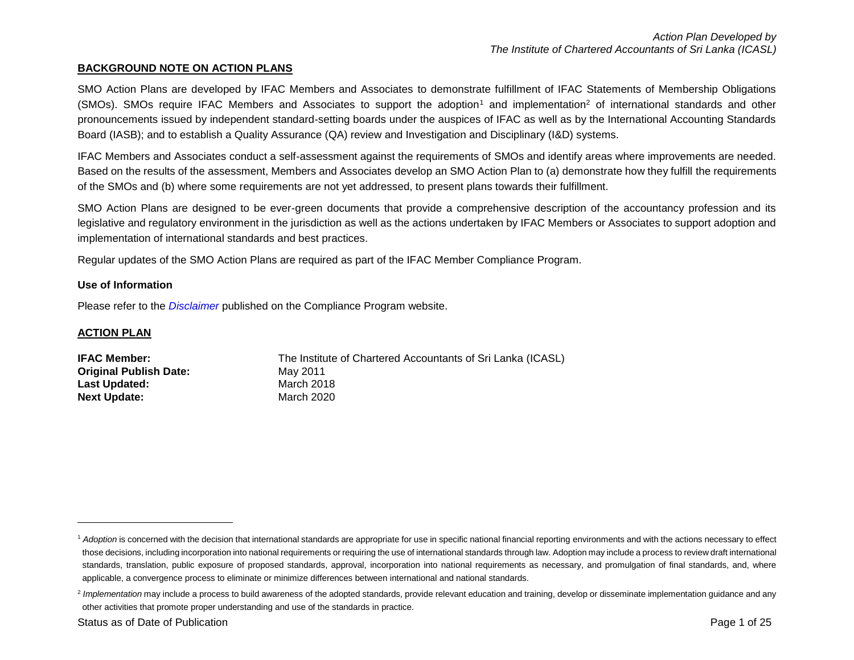### **BACKGROUND NOTE ON ACTION PLANS**

SMO Action Plans are developed by IFAC Members and Associates to demonstrate fulfillment of IFAC Statements of Membership Obligations  $(SMOs)$ . SMOs require IFAC Members and Associates to support the adoption<sup>1</sup> and implementation<sup>2</sup> of international standards and other pronouncements issued by independent standard-setting boards under the auspices of IFAC as well as by the International Accounting Standards Board (IASB); and to establish a Quality Assurance (QA) review and Investigation and Disciplinary (I&D) systems.

IFAC Members and Associates conduct a self-assessment against the requirements of SMOs and identify areas where improvements are needed. Based on the results of the assessment, Members and Associates develop an SMO Action Plan to (a) demonstrate how they fulfill the requirements of the SMOs and (b) where some requirements are not yet addressed, to present plans towards their fulfillment.

SMO Action Plans are designed to be ever-green documents that provide a comprehensive description of the accountancy profession and its legislative and regulatory environment in the jurisdiction as well as the actions undertaken by IFAC Members or Associates to support adoption and implementation of international standards and best practices.

Regular updates of the SMO Action Plans are required as part of the IFAC Member Compliance Program.

#### **Use of Information**

Please refer to the *[Disclaimer](http://www.ifac.org/about-ifac/membership/members/disclaimer)* published on the Compliance Program website.

#### **ACTION PLAN**

 $\overline{a}$ 

| <b>IFAC Member:</b>           | The Institute of Chartered Accountants of Sri Lanka (ICASL) |
|-------------------------------|-------------------------------------------------------------|
| <b>Original Publish Date:</b> | May 2011                                                    |
| Last Updated:                 | March 2018                                                  |
| <b>Next Update:</b>           | March 2020                                                  |

<sup>&</sup>lt;sup>1</sup> Adoption is concerned with the decision that international standards are appropriate for use in specific national financial reporting environments and with the actions necessary to effect those decisions, including incorporation into national requirements or requiring the use of international standards through law. Adoption may include a process to review draft international standards, translation, public exposure of proposed standards, approval, incorporation into national requirements as necessary, and promulgation of final standards, and, where applicable, a convergence process to eliminate or minimize differences between international and national standards.

<sup>&</sup>lt;sup>2</sup> Implementation may include a process to build awareness of the adopted standards, provide relevant education and training, develop or disseminate implementation guidance and any other activities that promote proper understanding and use of the standards in practice.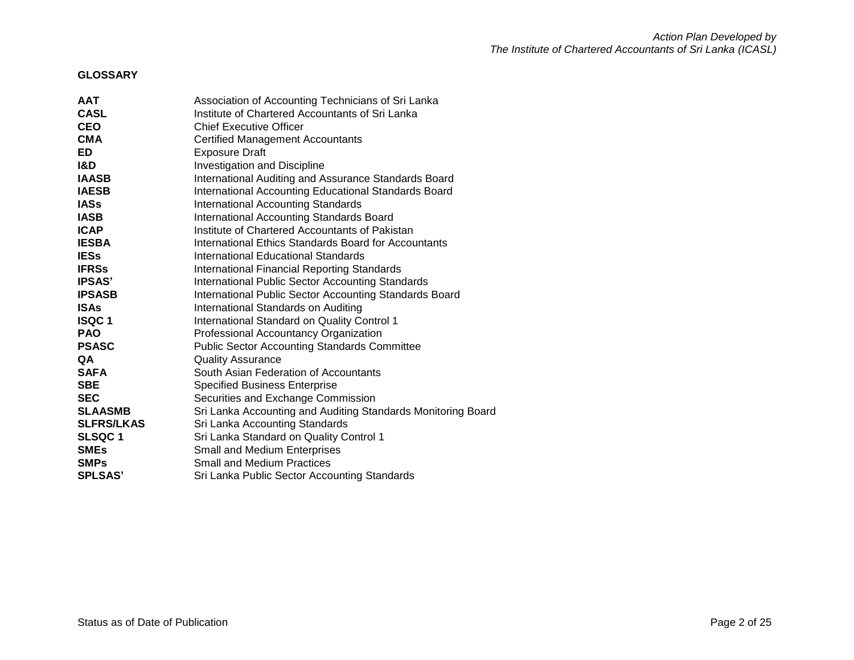## **GLOSSARY**

| <b>AAT</b>        | Association of Accounting Technicians of Sri Lanka           |
|-------------------|--------------------------------------------------------------|
| <b>CASL</b>       | Institute of Chartered Accountants of Sri Lanka              |
| <b>CEO</b>        | <b>Chief Executive Officer</b>                               |
| <b>CMA</b>        | <b>Certified Management Accountants</b>                      |
| ED                | <b>Exposure Draft</b>                                        |
| I&D               | Investigation and Discipline                                 |
| <b>IAASB</b>      | International Auditing and Assurance Standards Board         |
| <b>IAESB</b>      | International Accounting Educational Standards Board         |
| <b>IASs</b>       | <b>International Accounting Standards</b>                    |
| <b>IASB</b>       | International Accounting Standards Board                     |
| <b>ICAP</b>       | Institute of Chartered Accountants of Pakistan               |
| <b>IESBA</b>      | International Ethics Standards Board for Accountants         |
| <b>IESs</b>       | International Educational Standards                          |
| <b>IFRSs</b>      | <b>International Financial Reporting Standards</b>           |
| <b>IPSAS'</b>     | <b>International Public Sector Accounting Standards</b>      |
| <b>IPSASB</b>     | International Public Sector Accounting Standards Board       |
| <b>ISAs</b>       | International Standards on Auditing                          |
| <b>ISQC1</b>      | International Standard on Quality Control 1                  |
| <b>PAO</b>        | Professional Accountancy Organization                        |
| <b>PSASC</b>      | <b>Public Sector Accounting Standards Committee</b>          |
| QA                | <b>Quality Assurance</b>                                     |
| <b>SAFA</b>       | South Asian Federation of Accountants                        |
| <b>SBE</b>        | <b>Specified Business Enterprise</b>                         |
| <b>SEC</b>        | Securities and Exchange Commission                           |
| <b>SLAASMB</b>    | Sri Lanka Accounting and Auditing Standards Monitoring Board |
| <b>SLFRS/LKAS</b> | Sri Lanka Accounting Standards                               |
| <b>SLSQC1</b>     | Sri Lanka Standard on Quality Control 1                      |
| <b>SMEs</b>       | <b>Small and Medium Enterprises</b>                          |
| <b>SMPs</b>       | <b>Small and Medium Practices</b>                            |
| <b>SPLSAS'</b>    | Sri Lanka Public Sector Accounting Standards                 |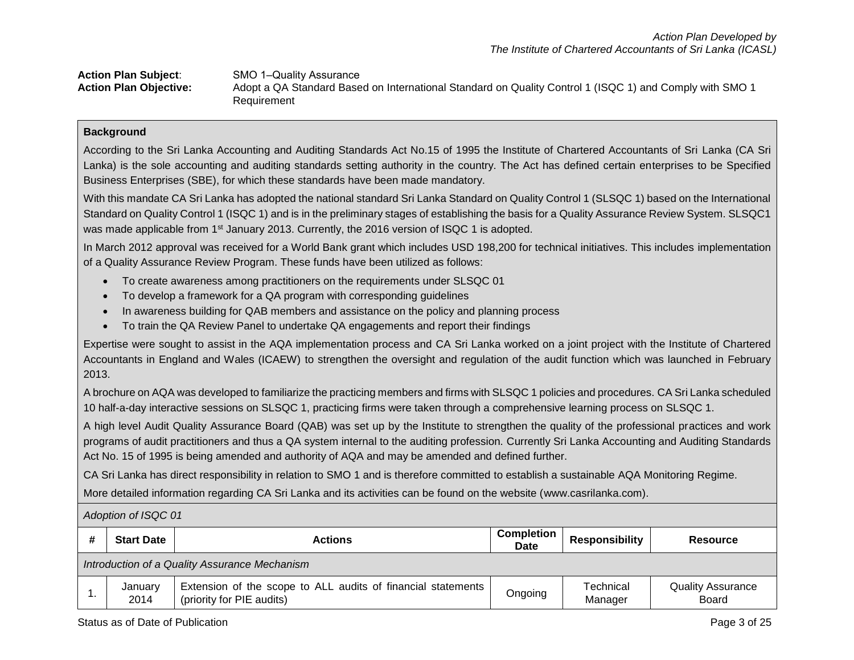| <b>Action Plan Subject:</b>   | SMO 1-Quality Assurance                                                                                 |
|-------------------------------|---------------------------------------------------------------------------------------------------------|
| <b>Action Plan Objective:</b> | Adopt a QA Standard Based on International Standard on Quality Control 1 (ISQC 1) and Comply with SMO 1 |
|                               | Requirement                                                                                             |

According to the Sri Lanka Accounting and Auditing Standards Act No.15 of 1995 the Institute of Chartered Accountants of Sri Lanka (CA Sri Lanka) is the sole accounting and auditing standards setting authority in the country. The Act has defined certain enterprises to be Specified Business Enterprises (SBE), for which these standards have been made mandatory.

With this mandate CA Sri Lanka has adopted the national standard Sri Lanka Standard on Quality Control 1 (SLSQC 1) based on the International Standard on Quality Control 1 (ISQC 1) and is in the preliminary stages of establishing the basis for a Quality Assurance Review System. SLSQC1 was made applicable from  $1<sup>st</sup>$  January 2013. Currently, the 2016 version of ISQC 1 is adopted.

In March 2012 approval was received for a World Bank grant which includes USD 198,200 for technical initiatives. This includes implementation of a Quality Assurance Review Program. These funds have been utilized as follows:

- To create awareness among practitioners on the requirements under SLSQC 01
- To develop a framework for a QA program with corresponding guidelines
- In awareness building for QAB members and assistance on the policy and planning process
- To train the QA Review Panel to undertake QA engagements and report their findings

Expertise were sought to assist in the AQA implementation process and CA Sri Lanka worked on a joint project with the Institute of Chartered Accountants in England and Wales (ICAEW) to strengthen the oversight and regulation of the audit function which was launched in February 2013.

A brochure on AQA was developed to familiarize the practicing members and firms with SLSQC 1 policies and procedures. CA Sri Lanka scheduled 10 half-a-day interactive sessions on SLSQC 1, practicing firms were taken through a comprehensive learning process on SLSQC 1.

A high level Audit Quality Assurance Board (QAB) was set up by the Institute to strengthen the quality of the professional practices and work programs of audit practitioners and thus a QA system internal to the auditing profession. Currently Sri Lanka Accounting and Auditing Standards Act No. 15 of 1995 is being amended and authority of AQA and may be amended and defined further.

CA Sri Lanka has direct responsibility in relation to SMO 1 and is therefore committed to establish a sustainable AQA Monitoring Regime.

More detailed information regarding CA Sri Lanka and its activities can be found on the website (www.casrilanka.com).

| <b>Start Date</b><br><b>Actions</b>           |                                                                                           | <b>Completion</b><br><b>Date</b> | Responsibility       | <b>Resource</b>                          |  |  |
|-----------------------------------------------|-------------------------------------------------------------------------------------------|----------------------------------|----------------------|------------------------------------------|--|--|
| Introduction of a Quality Assurance Mechanism |                                                                                           |                                  |                      |                                          |  |  |
| January<br>2014                               | Extension of the scope to ALL audits of financial statements<br>(priority for PIE audits) | Ongoing                          | Technical<br>Manager | <b>Quality Assurance</b><br><b>Board</b> |  |  |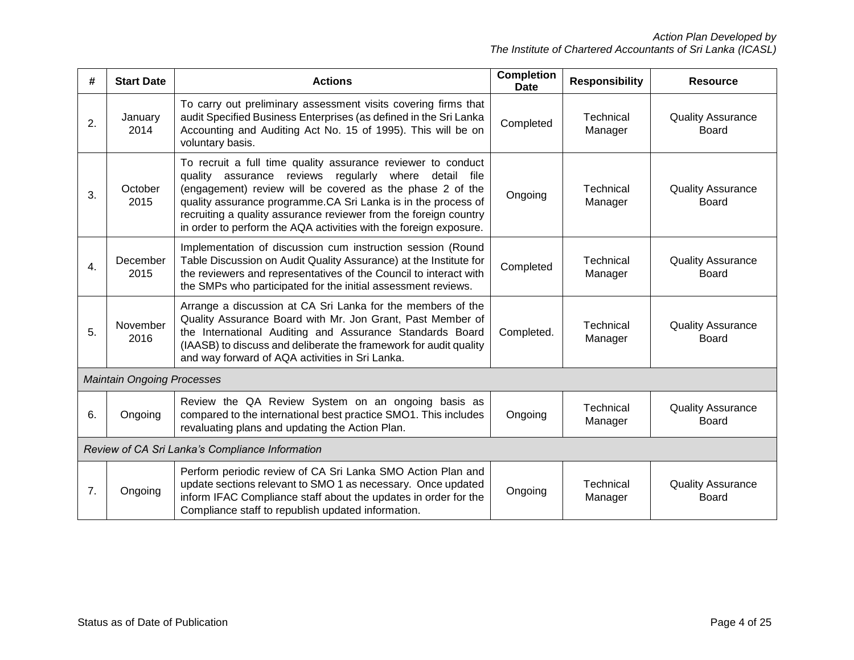| #  | <b>Start Date</b>                 | <b>Actions</b>                                                                                                                                                                                                                                                                                                                                                                                        | <b>Completion</b><br><b>Date</b> | <b>Responsibility</b> | <b>Resource</b>                          |
|----|-----------------------------------|-------------------------------------------------------------------------------------------------------------------------------------------------------------------------------------------------------------------------------------------------------------------------------------------------------------------------------------------------------------------------------------------------------|----------------------------------|-----------------------|------------------------------------------|
| 2. | January<br>2014                   | To carry out preliminary assessment visits covering firms that<br>audit Specified Business Enterprises (as defined in the Sri Lanka<br>Accounting and Auditing Act No. 15 of 1995). This will be on<br>voluntary basis.                                                                                                                                                                               | Completed                        | Technical<br>Manager  | <b>Quality Assurance</b><br>Board        |
| 3. | October<br>2015                   | To recruit a full time quality assurance reviewer to conduct<br>quality assurance reviews<br>regularly<br>where<br>detail file<br>(engagement) review will be covered as the phase 2 of the<br>quality assurance programme.CA Sri Lanka is in the process of<br>recruiting a quality assurance reviewer from the foreign country<br>in order to perform the AQA activities with the foreign exposure. | Ongoing                          | Technical<br>Manager  | <b>Quality Assurance</b><br>Board        |
| 4. | December<br>2015                  | Implementation of discussion cum instruction session (Round<br>Table Discussion on Audit Quality Assurance) at the Institute for<br>the reviewers and representatives of the Council to interact with<br>the SMPs who participated for the initial assessment reviews.                                                                                                                                | Completed                        | Technical<br>Manager  | <b>Quality Assurance</b><br><b>Board</b> |
| 5. | November<br>2016                  | Arrange a discussion at CA Sri Lanka for the members of the<br>Quality Assurance Board with Mr. Jon Grant, Past Member of<br>the International Auditing and Assurance Standards Board<br>(IAASB) to discuss and deliberate the framework for audit quality<br>and way forward of AQA activities in Sri Lanka.                                                                                         | Completed.                       | Technical<br>Manager  | <b>Quality Assurance</b><br>Board        |
|    | <b>Maintain Ongoing Processes</b> |                                                                                                                                                                                                                                                                                                                                                                                                       |                                  |                       |                                          |
| 6. | Ongoing                           | Review the QA Review System on an ongoing basis as<br>compared to the international best practice SMO1. This includes<br>revaluating plans and updating the Action Plan.                                                                                                                                                                                                                              | Ongoing                          | Technical<br>Manager  | <b>Quality Assurance</b><br>Board        |
|    |                                   | Review of CA Sri Lanka's Compliance Information                                                                                                                                                                                                                                                                                                                                                       |                                  |                       |                                          |
| 7. | Ongoing                           | Perform periodic review of CA Sri Lanka SMO Action Plan and<br>update sections relevant to SMO 1 as necessary. Once updated<br>inform IFAC Compliance staff about the updates in order for the<br>Compliance staff to republish updated information.                                                                                                                                                  | Ongoing                          | Technical<br>Manager  | <b>Quality Assurance</b><br><b>Board</b> |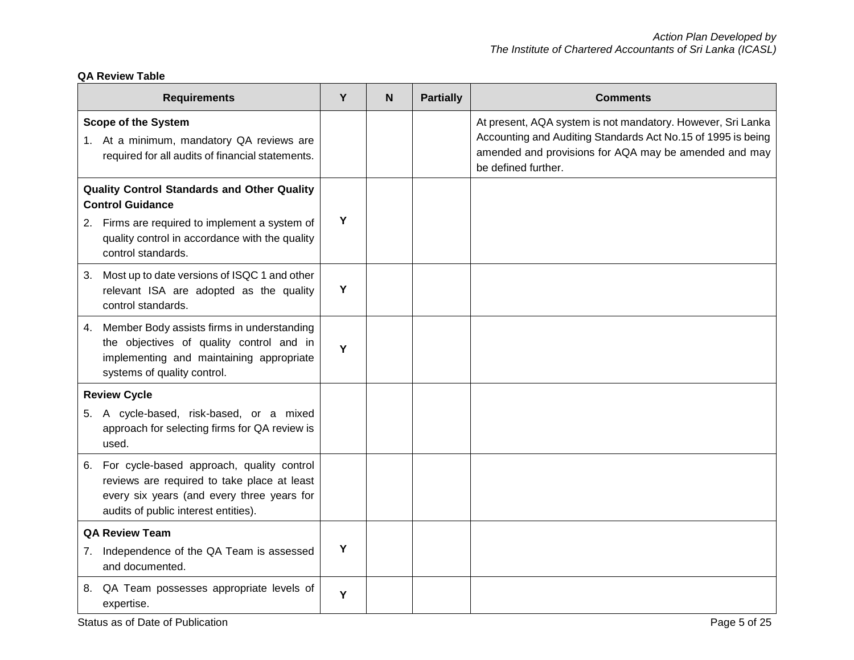# **QA Review Table**

| <b>Requirements</b>                                                                                                                                                               | Y | N | <b>Partially</b> | <b>Comments</b>                                                                                                                                                                                             |
|-----------------------------------------------------------------------------------------------------------------------------------------------------------------------------------|---|---|------------------|-------------------------------------------------------------------------------------------------------------------------------------------------------------------------------------------------------------|
| <b>Scope of the System</b><br>1. At a minimum, mandatory QA reviews are<br>required for all audits of financial statements.                                                       |   |   |                  | At present, AQA system is not mandatory. However, Sri Lanka<br>Accounting and Auditing Standards Act No.15 of 1995 is being<br>amended and provisions for AQA may be amended and may<br>be defined further. |
| <b>Quality Control Standards and Other Quality</b><br><b>Control Guidance</b>                                                                                                     |   |   |                  |                                                                                                                                                                                                             |
| 2. Firms are required to implement a system of<br>quality control in accordance with the quality<br>control standards.                                                            | Y |   |                  |                                                                                                                                                                                                             |
| Most up to date versions of ISQC 1 and other<br>3.<br>relevant ISA are adopted as the quality<br>control standards.                                                               | Y |   |                  |                                                                                                                                                                                                             |
| Member Body assists firms in understanding<br>4.<br>the objectives of quality control and in<br>implementing and maintaining appropriate<br>systems of quality control.           | Y |   |                  |                                                                                                                                                                                                             |
| <b>Review Cycle</b>                                                                                                                                                               |   |   |                  |                                                                                                                                                                                                             |
| 5. A cycle-based, risk-based, or a mixed<br>approach for selecting firms for QA review is<br>used.                                                                                |   |   |                  |                                                                                                                                                                                                             |
| 6. For cycle-based approach, quality control<br>reviews are required to take place at least<br>every six years (and every three years for<br>audits of public interest entities). |   |   |                  |                                                                                                                                                                                                             |
| <b>QA Review Team</b>                                                                                                                                                             |   |   |                  |                                                                                                                                                                                                             |
| 7. Independence of the QA Team is assessed<br>and documented.                                                                                                                     | Υ |   |                  |                                                                                                                                                                                                             |
| QA Team possesses appropriate levels of<br>8.<br>expertise.                                                                                                                       | Y |   |                  |                                                                                                                                                                                                             |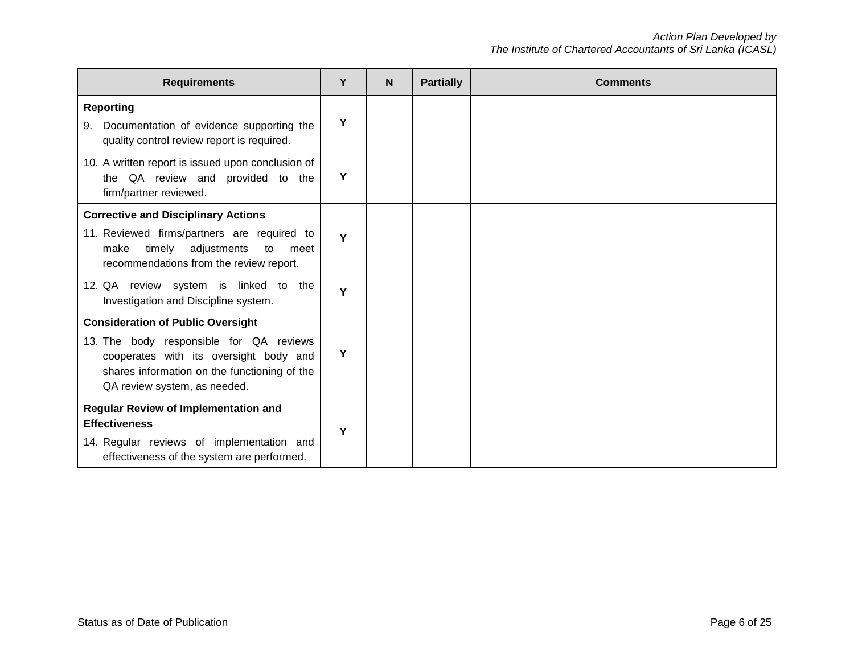| <b>Requirements</b>                                                                                                                                               | Y | <b>N</b> | <b>Partially</b> | <b>Comments</b> |
|-------------------------------------------------------------------------------------------------------------------------------------------------------------------|---|----------|------------------|-----------------|
| <b>Reporting</b><br>Documentation of evidence supporting the<br>9.<br>quality control review report is required.                                                  | Y |          |                  |                 |
| 10. A written report is issued upon conclusion of<br>QA review and provided to the<br>the<br>firm/partner reviewed.                                               | Y |          |                  |                 |
| <b>Corrective and Disciplinary Actions</b>                                                                                                                        |   |          |                  |                 |
| 11. Reviewed firms/partners are required to<br>timely adjustments<br>to<br>make<br>meet<br>recommendations from the review report.                                | Y |          |                  |                 |
| 12. QA review system is linked to the<br>Investigation and Discipline system.                                                                                     | Y |          |                  |                 |
| <b>Consideration of Public Oversight</b>                                                                                                                          |   |          |                  |                 |
| 13. The body responsible for QA reviews<br>cooperates with its oversight body and<br>shares information on the functioning of the<br>QA review system, as needed. | Y |          |                  |                 |
| <b>Regular Review of Implementation and</b>                                                                                                                       |   |          |                  |                 |
| <b>Effectiveness</b>                                                                                                                                              | Y |          |                  |                 |
| 14. Regular reviews of implementation and<br>effectiveness of the system are performed.                                                                           |   |          |                  |                 |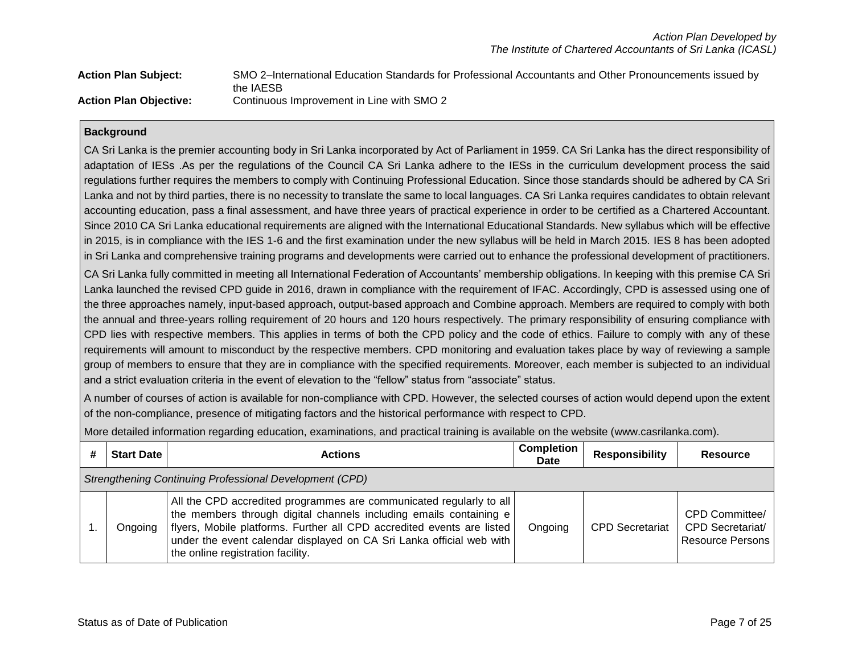| <b>Action Plan Subject:</b>   | SMO 2-International Education Standards for Professional Accountants and Other Pronouncements issued by |
|-------------------------------|---------------------------------------------------------------------------------------------------------|
|                               | the IAESB                                                                                               |
| <b>Action Plan Objective:</b> | Continuous Improvement in Line with SMO 2                                                               |

CA Sri Lanka is the premier accounting body in Sri Lanka incorporated by Act of Parliament in 1959. CA Sri Lanka has the direct responsibility of adaptation of IESs .As per the regulations of the Council CA Sri Lanka adhere to the IESs in the curriculum development process the said regulations further requires the members to comply with Continuing Professional Education. Since those standards should be adhered by CA Sri Lanka and not by third parties, there is no necessity to translate the same to local languages. CA Sri Lanka requires candidates to obtain relevant accounting education, pass a final assessment, and have three years of practical experience in order to be certified as a Chartered Accountant. Since 2010 CA Sri Lanka educational requirements are aligned with the International Educational Standards. New syllabus which will be effective in 2015, is in compliance with the IES 1-6 and the first examination under the new syllabus will be held in March 2015. IES 8 has been adopted in Sri Lanka and comprehensive training programs and developments were carried out to enhance the professional development of practitioners.

CA Sri Lanka fully committed in meeting all International Federation of Accountants' membership obligations. In keeping with this premise CA Sri Lanka launched the revised CPD guide in 2016, drawn in compliance with the requirement of IFAC. Accordingly, CPD is assessed using one of the three approaches namely, input-based approach, output-based approach and Combine approach. Members are required to comply with both the annual and three-years rolling requirement of 20 hours and 120 hours respectively. The primary responsibility of ensuring compliance with CPD lies with respective members. This applies in terms of both the CPD policy and the code of ethics. Failure to comply with any of these requirements will amount to misconduct by the respective members. CPD monitoring and evaluation takes place by way of reviewing a sample group of members to ensure that they are in compliance with the specified requirements. Moreover, each member is subjected to an individual and a strict evaluation criteria in the event of elevation to the "fellow" status from "associate" status.

A number of courses of action is available for non-compliance with CPD. However, the selected courses of action would depend upon the extent of the non-compliance, presence of mitigating factors and the historical performance with respect to CPD.

More detailed information regarding education, examinations, and practical training is available on the website (www.casrilanka.com).

| # | Start Date                                              | <b>Actions</b>                                                                                                                                                                                                                                                                                                                   | <b>Completion</b><br><b>Date</b> | <b>Responsibility</b>  | Resource                                                             |  |
|---|---------------------------------------------------------|----------------------------------------------------------------------------------------------------------------------------------------------------------------------------------------------------------------------------------------------------------------------------------------------------------------------------------|----------------------------------|------------------------|----------------------------------------------------------------------|--|
|   | Strengthening Continuing Professional Development (CPD) |                                                                                                                                                                                                                                                                                                                                  |                                  |                        |                                                                      |  |
|   | Ongoing                                                 | All the CPD accredited programmes are communicated regularly to all<br>the members through digital channels including emails containing e<br>flyers, Mobile platforms. Further all CPD accredited events are listed<br>under the event calendar displayed on CA Sri Lanka official web with<br>the online registration facility. | Ongoing                          | <b>CPD Secretariat</b> | CPD Committee/<br><b>CPD Secretariat/</b><br><b>Resource Persons</b> |  |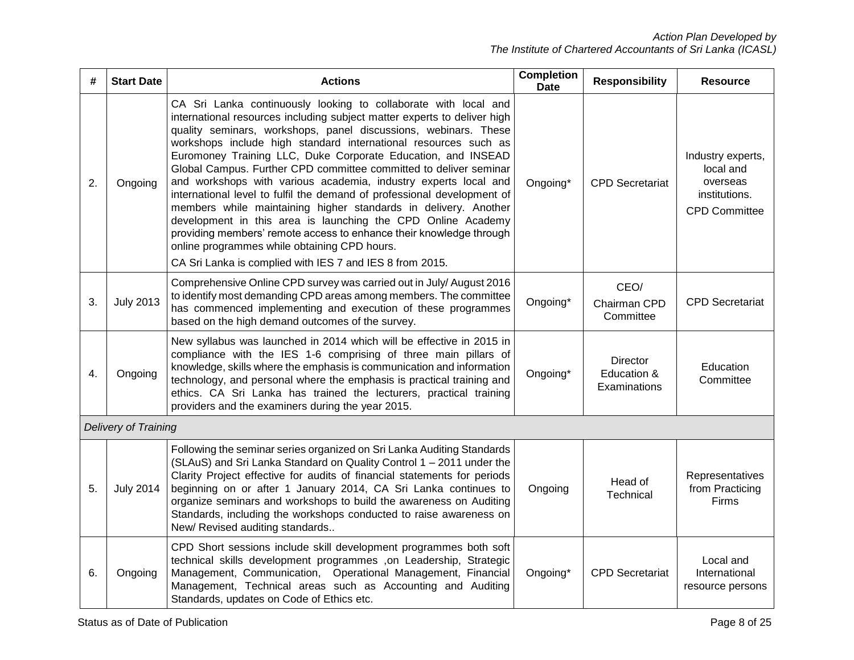| #  | <b>Start Date</b>           | <b>Actions</b>                                                                                                                                                                                                                                                                                                                                                                                                                                                                                                                                                                                                                                                                                                                                                                                                                                                                             | <b>Completion</b><br><b>Date</b> | <b>Responsibility</b>                          | <b>Resource</b>                                                                     |
|----|-----------------------------|--------------------------------------------------------------------------------------------------------------------------------------------------------------------------------------------------------------------------------------------------------------------------------------------------------------------------------------------------------------------------------------------------------------------------------------------------------------------------------------------------------------------------------------------------------------------------------------------------------------------------------------------------------------------------------------------------------------------------------------------------------------------------------------------------------------------------------------------------------------------------------------------|----------------------------------|------------------------------------------------|-------------------------------------------------------------------------------------|
| 2. | Ongoing                     | CA Sri Lanka continuously looking to collaborate with local and<br>international resources including subject matter experts to deliver high<br>quality seminars, workshops, panel discussions, webinars. These<br>workshops include high standard international resources such as<br>Euromoney Training LLC, Duke Corporate Education, and INSEAD<br>Global Campus. Further CPD committee committed to deliver seminar<br>and workshops with various academia, industry experts local and<br>international level to fulfil the demand of professional development of<br>members while maintaining higher standards in delivery. Another<br>development in this area is launching the CPD Online Academy<br>providing members' remote access to enhance their knowledge through<br>online programmes while obtaining CPD hours.<br>CA Sri Lanka is complied with IES 7 and IES 8 from 2015. | Ongoing*                         | <b>CPD Secretariat</b>                         | Industry experts,<br>local and<br>overseas<br>institutions.<br><b>CPD Committee</b> |
| 3. | <b>July 2013</b>            | Comprehensive Online CPD survey was carried out in July/August 2016<br>to identify most demanding CPD areas among members. The committee<br>has commenced implementing and execution of these programmes<br>based on the high demand outcomes of the survey.                                                                                                                                                                                                                                                                                                                                                                                                                                                                                                                                                                                                                               | Ongoing*                         | CEO/<br>Chairman CPD<br>Committee              | <b>CPD Secretariat</b>                                                              |
| 4. | Ongoing                     | New syllabus was launched in 2014 which will be effective in 2015 in<br>compliance with the IES 1-6 comprising of three main pillars of<br>knowledge, skills where the emphasis is communication and information<br>technology, and personal where the emphasis is practical training and<br>ethics. CA Sri Lanka has trained the lecturers, practical training<br>providers and the examiners during the year 2015.                                                                                                                                                                                                                                                                                                                                                                                                                                                                       | Ongoing*                         | <b>Director</b><br>Education &<br>Examinations | Education<br>Committee                                                              |
|    | <b>Delivery of Training</b> |                                                                                                                                                                                                                                                                                                                                                                                                                                                                                                                                                                                                                                                                                                                                                                                                                                                                                            |                                  |                                                |                                                                                     |
| 5. | <b>July 2014</b>            | Following the seminar series organized on Sri Lanka Auditing Standards<br>(SLAuS) and Sri Lanka Standard on Quality Control 1 - 2011 under the<br>Clarity Project effective for audits of financial statements for periods<br>beginning on or after 1 January 2014, CA Sri Lanka continues to<br>organize seminars and workshops to build the awareness on Auditing<br>Standards, including the workshops conducted to raise awareness on<br>New/ Revised auditing standards                                                                                                                                                                                                                                                                                                                                                                                                               | Ongoing                          | Head of<br>Technical                           | Representatives<br>from Practicing<br>Firms                                         |
| 6. | Ongoing                     | CPD Short sessions include skill development programmes both soft<br>technical skills development programmes ,on Leadership, Strategic<br>Management, Communication, Operational Management, Financial<br>Management, Technical areas such as Accounting and Auditing<br>Standards, updates on Code of Ethics etc.                                                                                                                                                                                                                                                                                                                                                                                                                                                                                                                                                                         | Ongoing*                         | <b>CPD</b> Secretariat                         | Local and<br>International<br>resource persons                                      |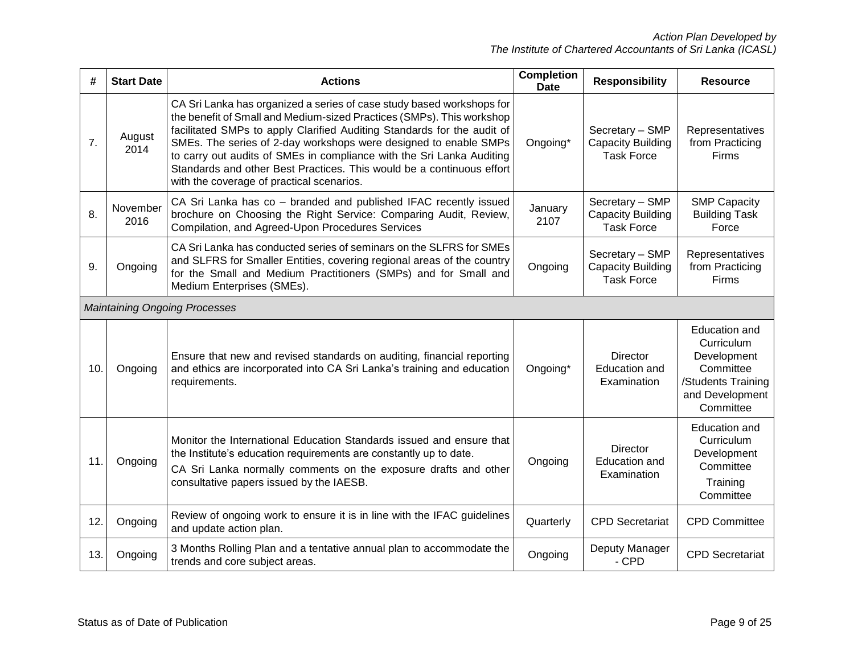| #   | <b>Start Date</b> | <b>Actions</b>                                                                                                                                                                                                                                                                                                                                                                                                                                                                               | <b>Completion</b><br><b>Date</b> | <b>Responsibility</b>                                            | <b>Resource</b>                                                                                                      |
|-----|-------------------|----------------------------------------------------------------------------------------------------------------------------------------------------------------------------------------------------------------------------------------------------------------------------------------------------------------------------------------------------------------------------------------------------------------------------------------------------------------------------------------------|----------------------------------|------------------------------------------------------------------|----------------------------------------------------------------------------------------------------------------------|
| 7.  | August<br>2014    | CA Sri Lanka has organized a series of case study based workshops for<br>the benefit of Small and Medium-sized Practices (SMPs). This workshop<br>facilitated SMPs to apply Clarified Auditing Standards for the audit of<br>SMEs. The series of 2-day workshops were designed to enable SMPs<br>to carry out audits of SMEs in compliance with the Sri Lanka Auditing<br>Standards and other Best Practices. This would be a continuous effort<br>with the coverage of practical scenarios. | Ongoing*                         | Secretary - SMP<br><b>Capacity Building</b><br><b>Task Force</b> | Representatives<br>from Practicing<br>Firms                                                                          |
| 8.  | November<br>2016  | CA Sri Lanka has co - branded and published IFAC recently issued<br>brochure on Choosing the Right Service: Comparing Audit, Review,<br>Compilation, and Agreed-Upon Procedures Services                                                                                                                                                                                                                                                                                                     | January<br>2107                  | Secretary - SMP<br><b>Capacity Building</b><br><b>Task Force</b> | <b>SMP Capacity</b><br><b>Building Task</b><br>Force                                                                 |
| 9.  | Ongoing           | CA Sri Lanka has conducted series of seminars on the SLFRS for SMEs<br>and SLFRS for Smaller Entities, covering regional areas of the country<br>for the Small and Medium Practitioners (SMPs) and for Small and<br>Medium Enterprises (SMEs).                                                                                                                                                                                                                                               | Ongoing                          | Secretary - SMP<br><b>Capacity Building</b><br><b>Task Force</b> | Representatives<br>from Practicing<br>Firms                                                                          |
|     |                   | <b>Maintaining Ongoing Processes</b>                                                                                                                                                                                                                                                                                                                                                                                                                                                         |                                  |                                                                  |                                                                                                                      |
| 10. | Ongoing           | Ensure that new and revised standards on auditing, financial reporting<br>and ethics are incorporated into CA Sri Lanka's training and education<br>requirements.                                                                                                                                                                                                                                                                                                                            | Ongoing*                         | <b>Director</b><br><b>Education and</b><br>Examination           | <b>Education and</b><br>Curriculum<br>Development<br>Committee<br>/Students Training<br>and Development<br>Committee |
| 11. | Ongoing           | Monitor the International Education Standards issued and ensure that<br>the Institute's education requirements are constantly up to date.<br>CA Sri Lanka normally comments on the exposure drafts and other<br>consultative papers issued by the IAESB.                                                                                                                                                                                                                                     | Ongoing                          | <b>Director</b><br><b>Education and</b><br>Examination           | <b>Education and</b><br>Curriculum<br>Development<br>Committee<br>Training<br>Committee                              |
| 12. | Ongoing           | Review of ongoing work to ensure it is in line with the IFAC guidelines<br>and update action plan.                                                                                                                                                                                                                                                                                                                                                                                           | Quarterly                        | <b>CPD</b> Secretariat                                           | <b>CPD Committee</b>                                                                                                 |
| 13. | Ongoing           | 3 Months Rolling Plan and a tentative annual plan to accommodate the<br>trends and core subject areas.                                                                                                                                                                                                                                                                                                                                                                                       | Ongoing                          | Deputy Manager<br>- CPD                                          | <b>CPD Secretariat</b>                                                                                               |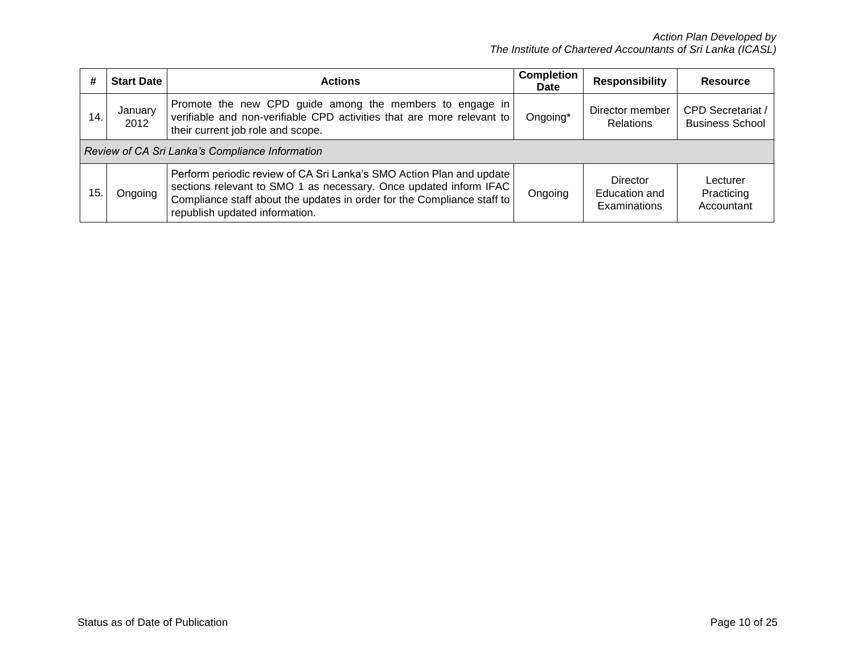| #   | <b>Start Date</b>                               | <b>Actions</b>                                                                                                                                                                                                                                                           | <b>Completion</b><br>Date | <b>Responsibility</b>                            | <b>Resource</b>                                    |
|-----|-------------------------------------------------|--------------------------------------------------------------------------------------------------------------------------------------------------------------------------------------------------------------------------------------------------------------------------|---------------------------|--------------------------------------------------|----------------------------------------------------|
| 14. | January<br>2012                                 | Promote the new CPD guide among the members to engage in<br>verifiable and non-verifiable CPD activities that are more relevant to<br>their current job role and scope.                                                                                                  | Ongoing*                  | Director member<br><b>Relations</b>              | <b>CPD Secretariat /</b><br><b>Business School</b> |
|     | Review of CA Sri Lanka's Compliance Information |                                                                                                                                                                                                                                                                          |                           |                                                  |                                                    |
| 15. | Ongoing                                         | Perform periodic review of CA Sri Lanka's SMO Action Plan and update<br>sections relevant to SMO 1 as necessary. Once updated inform IFAC<br>Compliance staff about the updates in order for the Compliance staff to<br>representative to the detection of a research on | Ongoing                   | <b>Director</b><br>Education and<br>Examinations | Lecturer<br>Practicing<br>Accountant               |

republish updated information.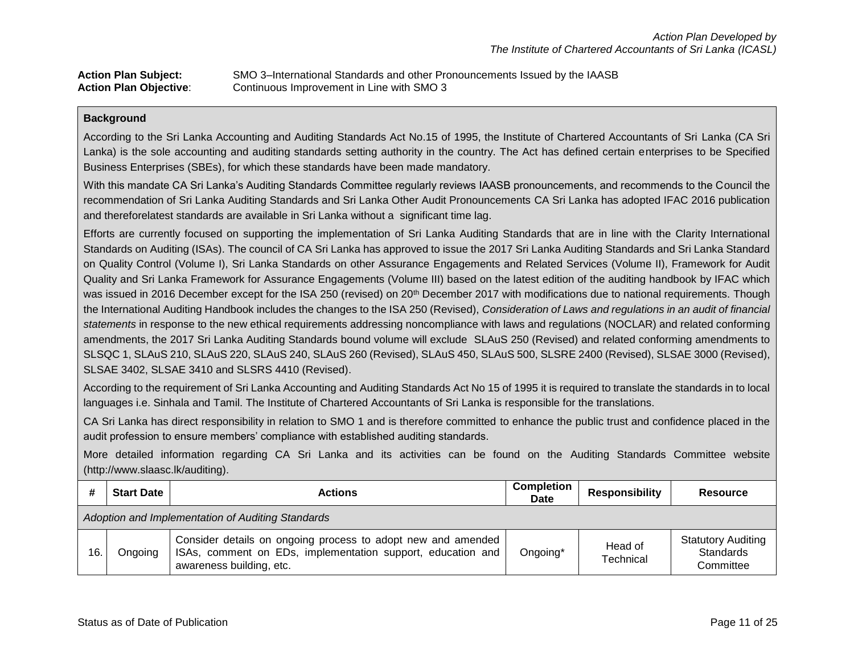| <b>Action Plan Subject:</b>   | SMO 3-International Standards and other Pronouncements Issued by the IAASB |
|-------------------------------|----------------------------------------------------------------------------|
| <b>Action Plan Objective:</b> | Continuous Improvement in Line with SMO 3                                  |

According to the Sri Lanka Accounting and Auditing Standards Act No.15 of 1995, the Institute of Chartered Accountants of Sri Lanka (CA Sri Lanka) is the sole accounting and auditing standards setting authority in the country. The Act has defined certain enterprises to be Specified Business Enterprises (SBEs), for which these standards have been made mandatory.

With this mandate CA Sri Lanka's Auditing Standards Committee regularly reviews IAASB pronouncements, and recommends to the Council the recommendation of Sri Lanka Auditing Standards and Sri Lanka Other Audit Pronouncements CA Sri Lanka has adopted IFAC 2016 publication and thereforelatest standards are available in Sri Lanka without a significant time lag.

Efforts are currently focused on supporting the implementation of Sri Lanka Auditing Standards that are in line with the Clarity International Standards on Auditing (ISAs). The council of CA Sri Lanka has approved to issue the 2017 Sri Lanka Auditing Standards and Sri Lanka Standard on Quality Control (Volume I), Sri Lanka Standards on other Assurance Engagements and Related Services (Volume II), Framework for Audit Quality and Sri Lanka Framework for Assurance Engagements (Volume III) based on the latest edition of the auditing handbook by IFAC which was issued in 2016 December except for the ISA 250 (revised) on 20<sup>th</sup> December 2017 with modifications due to national requirements. Though the International Auditing Handbook includes the changes to the ISA 250 (Revised), *Consideration of Laws and regulations in an audit of financial statements* in response to the new ethical requirements addressing noncompliance with laws and regulations (NOCLAR) and related conforming amendments, the 2017 Sri Lanka Auditing Standards bound volume will exclude SLAuS 250 (Revised) and related conforming amendments to SLSQC 1, SLAuS 210, SLAuS 220, SLAuS 240, SLAuS 260 (Revised), SLAuS 450, SLAuS 500, SLSRE 2400 (Revised), SLSAE 3000 (Revised), SLSAE 3402, SLSAE 3410 and SLSRS 4410 (Revised).

According to the requirement of Sri Lanka Accounting and Auditing Standards Act No 15 of 1995 it is required to translate the standards in to local languages i.e. Sinhala and Tamil. The Institute of Chartered Accountants of Sri Lanka is responsible for the translations.

CA Sri Lanka has direct responsibility in relation to SMO 1 and is therefore committed to enhance the public trust and confidence placed in the audit profession to ensure members' compliance with established auditing standards.

More detailed information regarding CA Sri Lanka and its activities can be found on the Auditing Standards Committee website (http://www.slaasc.lk/auditing).

|     | <b>Start Date</b>                                 | <b>Actions</b>                                                                                                                                          | <b>Completion</b><br>Date | <b>Responsibility</b> | <b>Resource</b>                                     |
|-----|---------------------------------------------------|---------------------------------------------------------------------------------------------------------------------------------------------------------|---------------------------|-----------------------|-----------------------------------------------------|
|     | Adoption and Implementation of Auditing Standards |                                                                                                                                                         |                           |                       |                                                     |
| 16. | Ongoing                                           | Consider details on ongoing process to adopt new and amended<br>ISAs, comment on EDs, implementation support, education and<br>awareness building, etc. | Ongoing*                  | Head of<br>Technical  | <b>Statutory Auditing</b><br>Standards<br>Committee |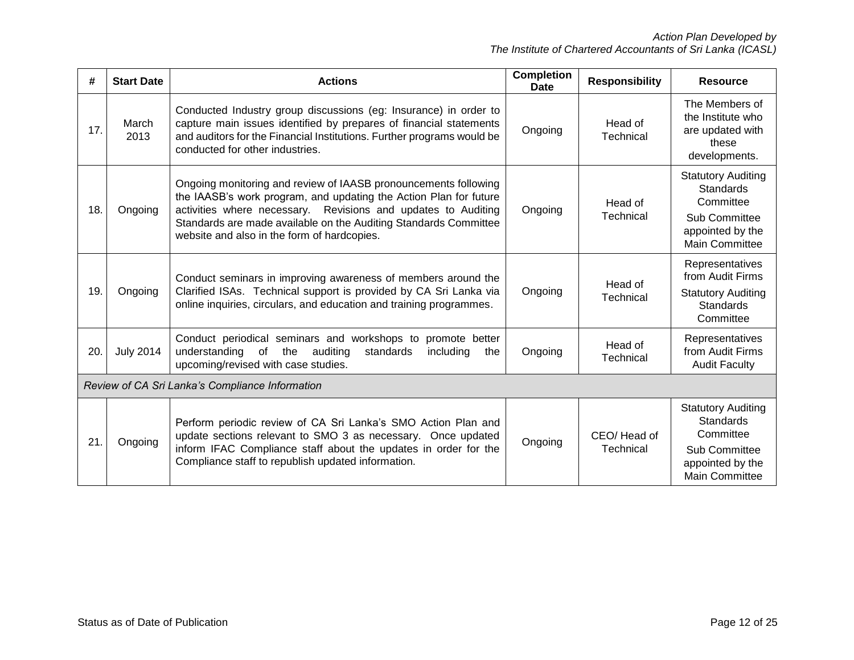| #                                               | <b>Start Date</b> | <b>Actions</b>                                                                                                                                                                                                                                                                                                           | <b>Completion</b><br>Date | <b>Responsibility</b>                                                                                             | <b>Resource</b>                                                                                                          |
|-------------------------------------------------|-------------------|--------------------------------------------------------------------------------------------------------------------------------------------------------------------------------------------------------------------------------------------------------------------------------------------------------------------------|---------------------------|-------------------------------------------------------------------------------------------------------------------|--------------------------------------------------------------------------------------------------------------------------|
| 17.                                             | March<br>2013     | Conducted Industry group discussions (eg: Insurance) in order to<br>capture main issues identified by prepares of financial statements<br>and auditors for the Financial Institutions. Further programs would be<br>conducted for other industries.                                                                      | Ongoing                   | Head of<br>Technical                                                                                              | The Members of<br>the Institute who<br>are updated with<br>these<br>developments.                                        |
| 18.                                             | Ongoing           | Ongoing monitoring and review of IAASB pronouncements following<br>the IAASB's work program, and updating the Action Plan for future<br>activities where necessary. Revisions and updates to Auditing<br>Standards are made available on the Auditing Standards Committee<br>website and also in the form of hardcopies. | Head of<br>Technical      | <b>Statutory Auditing</b><br>Standards<br>Committee<br>Sub Committee<br>appointed by the<br><b>Main Committee</b> |                                                                                                                          |
| 19.                                             | Ongoing           | Conduct seminars in improving awareness of members around the<br>Clarified ISAs. Technical support is provided by CA Sri Lanka via<br>online inquiries, circulars, and education and training programmes.                                                                                                                | Ongoing                   | Head of<br>Technical                                                                                              | Representatives<br>from Audit Firms<br><b>Statutory Auditing</b><br><b>Standards</b><br>Committee                        |
| 20.                                             | <b>July 2014</b>  | Conduct periodical seminars and workshops to<br>promote better<br>of the<br>understanding<br>auditing<br>standards<br>including<br>the<br>upcoming/revised with case studies.                                                                                                                                            | Head of<br>Technical      | Representatives<br>from Audit Firms<br><b>Audit Faculty</b>                                                       |                                                                                                                          |
| Review of CA Sri Lanka's Compliance Information |                   |                                                                                                                                                                                                                                                                                                                          |                           |                                                                                                                   |                                                                                                                          |
| 21.                                             | Ongoing           | Perform periodic review of CA Sri Lanka's SMO Action Plan and<br>update sections relevant to SMO 3 as necessary. Once updated<br>inform IFAC Compliance staff about the updates in order for the<br>Compliance staff to republish updated information.                                                                   | Ongoing                   | CEO/Head of<br>Technical                                                                                          | <b>Statutory Auditing</b><br><b>Standards</b><br>Committee<br>Sub Committee<br>appointed by the<br><b>Main Committee</b> |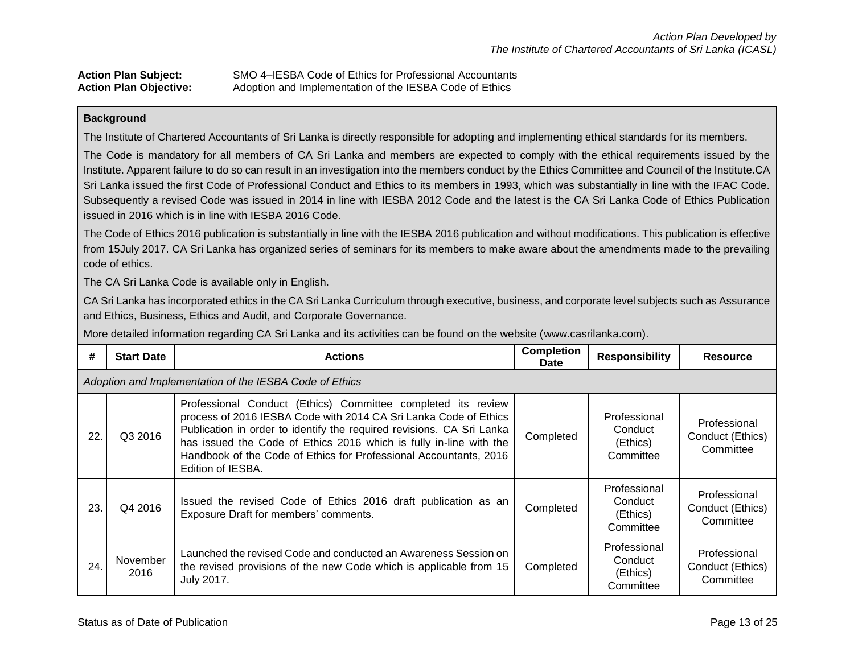| <b>Action Plan Subject:</b>   | SMO 4–IESBA Code of Ethics for Professional Accountants |
|-------------------------------|---------------------------------------------------------|
| <b>Action Plan Objective:</b> | Adoption and Implementation of the IESBA Code of Ethics |

The Institute of Chartered Accountants of Sri Lanka is directly responsible for adopting and implementing ethical standards for its members.

The Code is mandatory for all members of CA Sri Lanka and members are expected to comply with the ethical requirements issued by the Institute. Apparent failure to do so can result in an investigation into the members conduct by the Ethics Committee and Council of the Institute.CA Sri Lanka issued the first Code of Professional Conduct and Ethics to its members in 1993, which was substantially in line with the IFAC Code. Subsequently a revised Code was issued in 2014 in line with IESBA 2012 Code and the latest is the CA Sri Lanka Code of Ethics Publication issued in 2016 which is in line with IESBA 2016 Code.

The Code of Ethics 2016 publication is substantially in line with the IESBA 2016 publication and without modifications. This publication is effective from 15July 2017. CA Sri Lanka has organized series of seminars for its members to make aware about the amendments made to the prevailing code of ethics.

The CA Sri Lanka Code is available only in English.

CA Sri Lanka has incorporated ethics in the CA Sri Lanka Curriculum through executive, business, and corporate level subjects such as Assurance and Ethics, Business, Ethics and Audit, and Corporate Governance.

More detailed information regarding CA Sri Lanka and its activities can be found on the website (www.casrilanka.com).

| #   | <b>Start Date</b>                                       | <b>Actions</b>                                                                                                                                                                                                                                                                                                                                                            | <b>Completion</b><br>Date | <b>Responsibility</b>                            | Resource                                      |  |  |
|-----|---------------------------------------------------------|---------------------------------------------------------------------------------------------------------------------------------------------------------------------------------------------------------------------------------------------------------------------------------------------------------------------------------------------------------------------------|---------------------------|--------------------------------------------------|-----------------------------------------------|--|--|
|     | Adoption and Implementation of the IESBA Code of Ethics |                                                                                                                                                                                                                                                                                                                                                                           |                           |                                                  |                                               |  |  |
| 22  | Q3 2016                                                 | Professional Conduct (Ethics) Committee completed its review<br>process of 2016 IESBA Code with 2014 CA Sri Lanka Code of Ethics<br>Publication in order to identify the required revisions. CA Sri Lanka<br>has issued the Code of Ethics 2016 which is fully in-line with the<br>Handbook of the Code of Ethics for Professional Accountants, 2016<br>Edition of IESBA. | Completed                 | Professional<br>Conduct<br>(Ethics)<br>Committee | Professional<br>Conduct (Ethics)<br>Committee |  |  |
| 23. | Q4 2016                                                 | Issued the revised Code of Ethics 2016 draft publication as an<br>Exposure Draft for members' comments.                                                                                                                                                                                                                                                                   | Completed                 | Professional<br>Conduct<br>(Ethics)<br>Committee | Professional<br>Conduct (Ethics)<br>Committee |  |  |
| 24. | November<br>2016                                        | Launched the revised Code and conducted an Awareness Session on<br>the revised provisions of the new Code which is applicable from 15<br>July 2017.                                                                                                                                                                                                                       | Completed                 | Professional<br>Conduct<br>(Ethics)<br>Committee | Professional<br>Conduct (Ethics)<br>Committee |  |  |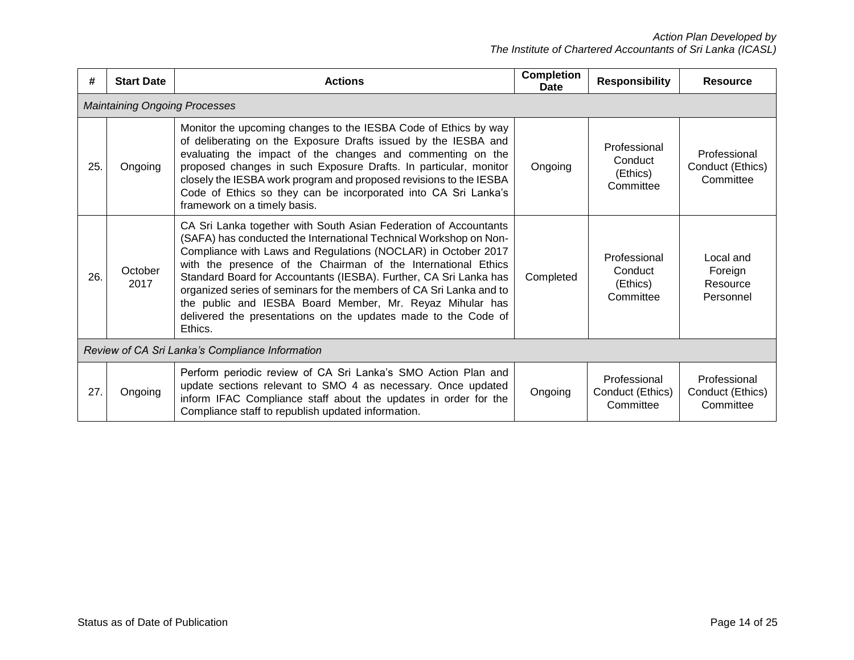| #   | <b>Start Date</b>                               | <b>Actions</b>                                                                                                                                                                                                                                                                                                                                                                                                                                                                                                                                               | <b>Completion</b><br>Date | <b>Responsibility</b>                            | <b>Resource</b>                               |  |  |
|-----|-------------------------------------------------|--------------------------------------------------------------------------------------------------------------------------------------------------------------------------------------------------------------------------------------------------------------------------------------------------------------------------------------------------------------------------------------------------------------------------------------------------------------------------------------------------------------------------------------------------------------|---------------------------|--------------------------------------------------|-----------------------------------------------|--|--|
|     | <b>Maintaining Ongoing Processes</b>            |                                                                                                                                                                                                                                                                                                                                                                                                                                                                                                                                                              |                           |                                                  |                                               |  |  |
| 25. | Ongoing                                         | Monitor the upcoming changes to the IESBA Code of Ethics by way<br>of deliberating on the Exposure Drafts issued by the IESBA and<br>evaluating the impact of the changes and commenting on the<br>proposed changes in such Exposure Drafts. In particular, monitor<br>closely the IESBA work program and proposed revisions to the IESBA<br>Code of Ethics so they can be incorporated into CA Sri Lanka's<br>framework on a timely basis.                                                                                                                  | Ongoing                   | Professional<br>Conduct<br>(Ethics)<br>Committee | Professional<br>Conduct (Ethics)<br>Committee |  |  |
| 26. | October<br>2017                                 | CA Sri Lanka together with South Asian Federation of Accountants<br>(SAFA) has conducted the International Technical Workshop on Non-<br>Compliance with Laws and Regulations (NOCLAR) in October 2017<br>with the presence of the Chairman of the International Ethics<br>Standard Board for Accountants (IESBA). Further, CA Sri Lanka has<br>organized series of seminars for the members of CA Sri Lanka and to<br>the public and IESBA Board Member, Mr. Reyaz Mihular has<br>delivered the presentations on the updates made to the Code of<br>Ethics. | Completed                 | Professional<br>Conduct<br>(Ethics)<br>Committee | Local and<br>Foreign<br>Resource<br>Personnel |  |  |
|     | Review of CA Sri Lanka's Compliance Information |                                                                                                                                                                                                                                                                                                                                                                                                                                                                                                                                                              |                           |                                                  |                                               |  |  |
| 27. | Ongoing                                         | Perform periodic review of CA Sri Lanka's SMO Action Plan and<br>update sections relevant to SMO 4 as necessary. Once updated<br>inform IFAC Compliance staff about the updates in order for the<br>Compliance staff to republish updated information.                                                                                                                                                                                                                                                                                                       | Ongoing                   | Professional<br>Conduct (Ethics)<br>Committee    | Professional<br>Conduct (Ethics)<br>Committee |  |  |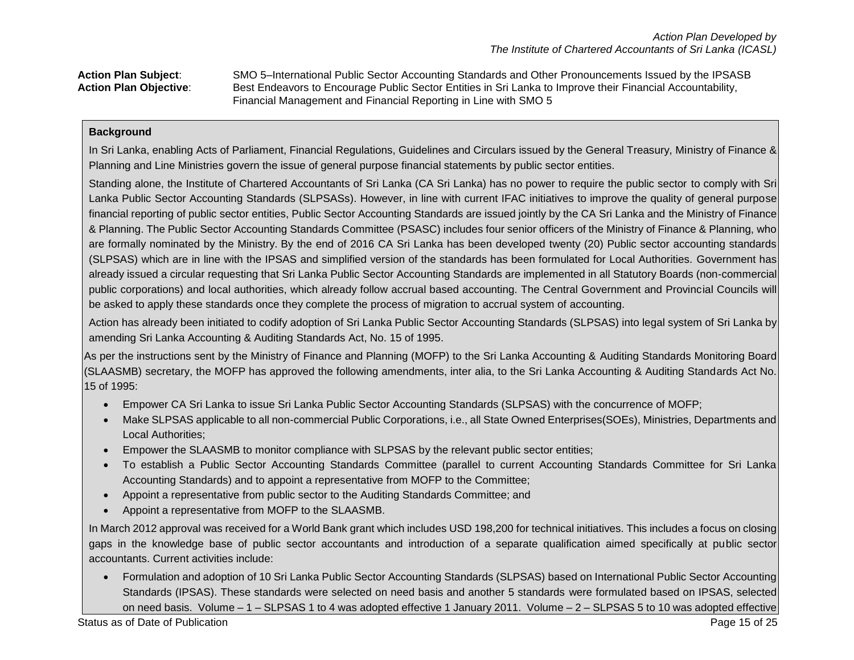**Action Plan Subject**: SMO 5–International Public Sector Accounting Standards and Other Pronouncements Issued by the IPSASB **Action Plan Objective**: Best Endeavors to Encourage Public Sector Entities in Sri Lanka to Improve their Financial Accountability, Financial Management and Financial Reporting in Line with SMO 5

## **Background**

In Sri Lanka, enabling Acts of Parliament, Financial Regulations, Guidelines and Circulars issued by the General Treasury, Ministry of Finance & Planning and Line Ministries govern the issue of general purpose financial statements by public sector entities.

Standing alone, the Institute of Chartered Accountants of Sri Lanka (CA Sri Lanka) has no power to require the public sector to comply with Sri Lanka Public Sector Accounting Standards (SLPSASs). However, in line with current IFAC initiatives to improve the quality of general purpose financial reporting of public sector entities, Public Sector Accounting Standards are issued jointly by the CA Sri Lanka and the Ministry of Finance & Planning. The Public Sector Accounting Standards Committee (PSASC) includes four senior officers of the Ministry of Finance & Planning, who are formally nominated by the Ministry. By the end of 2016 CA Sri Lanka has been developed twenty (20) Public sector accounting standards (SLPSAS) which are in line with the IPSAS and simplified version of the standards has been formulated for Local Authorities. Government has already issued a circular requesting that Sri Lanka Public Sector Accounting Standards are implemented in all Statutory Boards (non-commercial public corporations) and local authorities, which already follow accrual based accounting. The Central Government and Provincial Councils will be asked to apply these standards once they complete the process of migration to accrual system of accounting.

Action has already been initiated to codify adoption of Sri Lanka Public Sector Accounting Standards (SLPSAS) into legal system of Sri Lanka by amending Sri Lanka Accounting & Auditing Standards Act, No. 15 of 1995.

As per the instructions sent by the Ministry of Finance and Planning (MOFP) to the Sri Lanka Accounting & Auditing Standards Monitoring Board (SLAASMB) secretary, the MOFP has approved the following amendments, inter alia, to the Sri Lanka Accounting & Auditing Standards Act No. 15 of 1995:

- Empower CA Sri Lanka to issue Sri Lanka Public Sector Accounting Standards (SLPSAS) with the concurrence of MOFP;
- Make SLPSAS applicable to all non-commercial Public Corporations, i.e., all State Owned Enterprises(SOEs), Ministries, Departments and Local Authorities;
- Empower the SLAASMB to monitor compliance with SLPSAS by the relevant public sector entities;
- To establish a Public Sector Accounting Standards Committee (parallel to current Accounting Standards Committee for Sri Lanka Accounting Standards) and to appoint a representative from MOFP to the Committee;
- Appoint a representative from public sector to the Auditing Standards Committee; and
- Appoint a representative from MOFP to the SLAASMB.

In March 2012 approval was received for a World Bank grant which includes USD 198,200 for technical initiatives. This includes a focus on closing gaps in the knowledge base of public sector accountants and introduction of a separate qualification aimed specifically at public sector accountants. Current activities include:

 Formulation and adoption of 10 Sri Lanka Public Sector Accounting Standards (SLPSAS) based on International Public Sector Accounting Standards (IPSAS). These standards were selected on need basis and another 5 standards were formulated based on IPSAS, selected on need basis. Volume – 1 – SLPSAS 1 to 4 was adopted effective 1 January 2011. Volume – 2 – SLPSAS 5 to 10 was adopted effective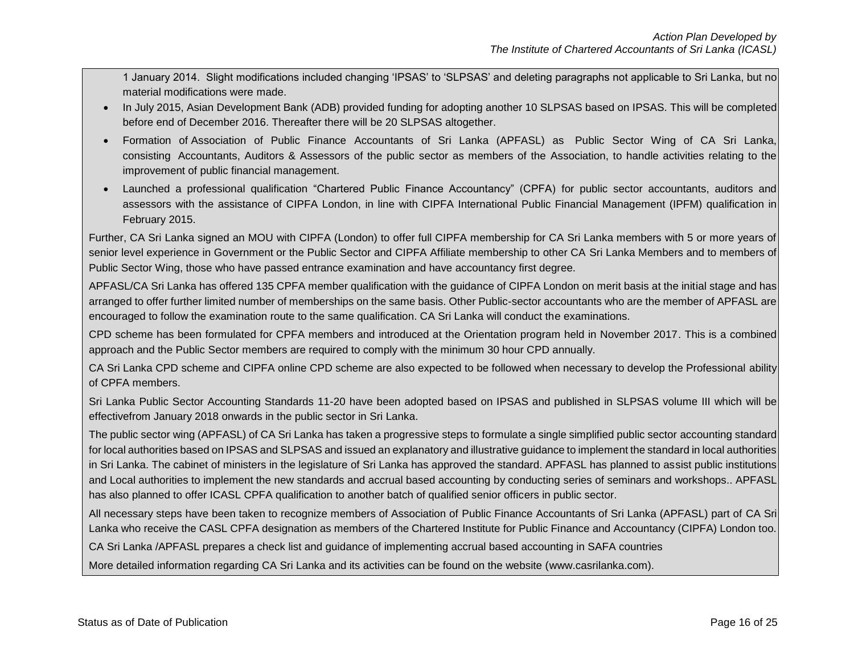1 January 2014. Slight modifications included changing 'IPSAS' to 'SLPSAS' and deleting paragraphs not applicable to Sri Lanka, but no material modifications were made.

- In July 2015, Asian Development Bank (ADB) provided funding for adopting another 10 SLPSAS based on IPSAS. This will be completed before end of December 2016. Thereafter there will be 20 SLPSAS altogether.
- Formation of Association of Public Finance Accountants of Sri Lanka (APFASL) as Public Sector Wing of CA Sri Lanka, consisting Accountants, Auditors & Assessors of the public sector as members of the Association, to handle activities relating to the improvement of public financial management.
- Launched a professional qualification "Chartered Public Finance Accountancy" (CPFA) for public sector accountants, auditors and assessors with the assistance of CIPFA London, in line with CIPFA International Public Financial Management (IPFM) qualification in February 2015.

Further, CA Sri Lanka signed an MOU with CIPFA (London) to offer full CIPFA membership for CA Sri Lanka members with 5 or more years of senior level experience in Government or the Public Sector and CIPFA Affiliate membership to other CA Sri Lanka Members and to members of Public Sector Wing, those who have passed entrance examination and have accountancy first degree.

APFASL/CA Sri Lanka has offered 135 CPFA member qualification with the guidance of CIPFA London on merit basis at the initial stage and has arranged to offer further limited number of memberships on the same basis. Other Public-sector accountants who are the member of APFASL are encouraged to follow the examination route to the same qualification. CA Sri Lanka will conduct the examinations.

CPD scheme has been formulated for CPFA members and introduced at the Orientation program held in November 2017. This is a combined approach and the Public Sector members are required to comply with the minimum 30 hour CPD annually.

CA Sri Lanka CPD scheme and CIPFA online CPD scheme are also expected to be followed when necessary to develop the Professional ability of CPFA members.

Sri Lanka Public Sector Accounting Standards 11-20 have been adopted based on IPSAS and published in SLPSAS volume III which will be effectivefrom January 2018 onwards in the public sector in Sri Lanka.

The public sector wing (APFASL) of CA Sri Lanka has taken a progressive steps to formulate a single simplified public sector accounting standard for local authorities based on IPSAS and SLPSAS and issued an explanatory and illustrative guidance to implement the standard in local authorities in Sri Lanka. The cabinet of ministers in the legislature of Sri Lanka has approved the standard. APFASL has planned to assist public institutions and Local authorities to implement the new standards and accrual based accounting by conducting series of seminars and workshops.. APFASL has also planned to offer ICASL CPFA qualification to another batch of qualified senior officers in public sector.

All necessary steps have been taken to recognize members of Association of Public Finance Accountants of Sri Lanka (APFASL) part of CA Sri Lanka who receive the CASL CPFA designation as members of the Chartered Institute for Public Finance and Accountancy (CIPFA) London too.

CA Sri Lanka /APFASL prepares a check list and guidance of implementing accrual based accounting in SAFA countries

More detailed information regarding CA Sri Lanka and its activities can be found on the website (www.casrilanka.com).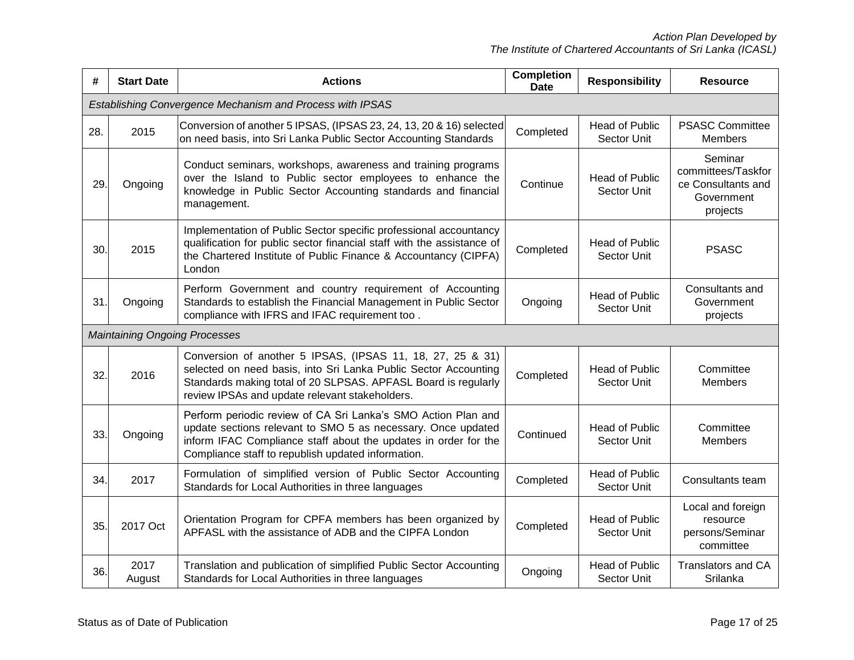*Action Plan Developed by The Institute of Chartered Accountants of Sri Lanka (ICASL)*

| #   | <b>Start Date</b>                                                                                                                                                                     | <b>Actions</b>                                                                                                                                                                                                                                         | <b>Completion</b><br><b>Date</b>                              | <b>Responsibility</b>                | <b>Resource</b>                                                               |
|-----|---------------------------------------------------------------------------------------------------------------------------------------------------------------------------------------|--------------------------------------------------------------------------------------------------------------------------------------------------------------------------------------------------------------------------------------------------------|---------------------------------------------------------------|--------------------------------------|-------------------------------------------------------------------------------|
|     |                                                                                                                                                                                       | Establishing Convergence Mechanism and Process with IPSAS                                                                                                                                                                                              |                                                               |                                      |                                                                               |
| 28. | 2015                                                                                                                                                                                  | Conversion of another 5 IPSAS, (IPSAS 23, 24, 13, 20 & 16) selected<br>on need basis, into Sri Lanka Public Sector Accounting Standards                                                                                                                | Completed                                                     | <b>Head of Public</b><br>Sector Unit | <b>PSASC Committee</b><br><b>Members</b>                                      |
| 29. | Ongoing                                                                                                                                                                               | Conduct seminars, workshops, awareness and training programs<br>over the Island to Public sector employees to enhance the<br>knowledge in Public Sector Accounting standards and financial<br>management.                                              | Continue                                                      | <b>Head of Public</b><br>Sector Unit | Seminar<br>committees/Taskfor<br>ce Consultants and<br>Government<br>projects |
| 30. | 2015                                                                                                                                                                                  | Implementation of Public Sector specific professional accountancy<br>qualification for public sector financial staff with the assistance of<br>the Chartered Institute of Public Finance & Accountancy (CIPFA)<br>London                               | Completed                                                     | <b>Head of Public</b><br>Sector Unit | <b>PSASC</b>                                                                  |
| 31. | Ongoing                                                                                                                                                                               | Perform Government and country requirement of Accounting<br>Standards to establish the Financial Management in Public Sector<br>compliance with IFRS and IFAC requirement too.                                                                         | Ongoing                                                       | <b>Head of Public</b><br>Sector Unit | Consultants and<br>Government<br>projects                                     |
|     | <b>Maintaining Ongoing Processes</b>                                                                                                                                                  |                                                                                                                                                                                                                                                        |                                                               |                                      |                                                                               |
| 32. | 2016                                                                                                                                                                                  | Conversion of another 5 IPSAS, (IPSAS 11, 18, 27, 25 & 31)<br>selected on need basis, into Sri Lanka Public Sector Accounting<br>Standards making total of 20 SLPSAS. APFASL Board is regularly<br>review IPSAs and update relevant stakeholders.      | Completed                                                     | <b>Head of Public</b><br>Sector Unit | Committee<br>Members                                                          |
| 33. | Ongoing                                                                                                                                                                               | Perform periodic review of CA Sri Lanka's SMO Action Plan and<br>update sections relevant to SMO 5 as necessary. Once updated<br>inform IFAC Compliance staff about the updates in order for the<br>Compliance staff to republish updated information. |                                                               | <b>Head of Public</b><br>Sector Unit | Committee<br><b>Members</b>                                                   |
| 34. | 2017                                                                                                                                                                                  | Formulation of simplified version of Public Sector Accounting<br>Standards for Local Authorities in three languages                                                                                                                                    | Completed                                                     | <b>Head of Public</b><br>Sector Unit | Consultants team                                                              |
| 35. | Orientation Program for CPFA members has been organized by<br><b>Head of Public</b><br>2017 Oct<br>Completed<br>APFASL with the assistance of ADB and the CIPFA London<br>Sector Unit |                                                                                                                                                                                                                                                        | Local and foreign<br>resource<br>persons/Seminar<br>committee |                                      |                                                                               |
| 36. | 2017<br>August                                                                                                                                                                        | Translation and publication of simplified Public Sector Accounting<br>Standards for Local Authorities in three languages                                                                                                                               | Ongoing                                                       | <b>Head of Public</b><br>Sector Unit | <b>Translators and CA</b><br>Srilanka                                         |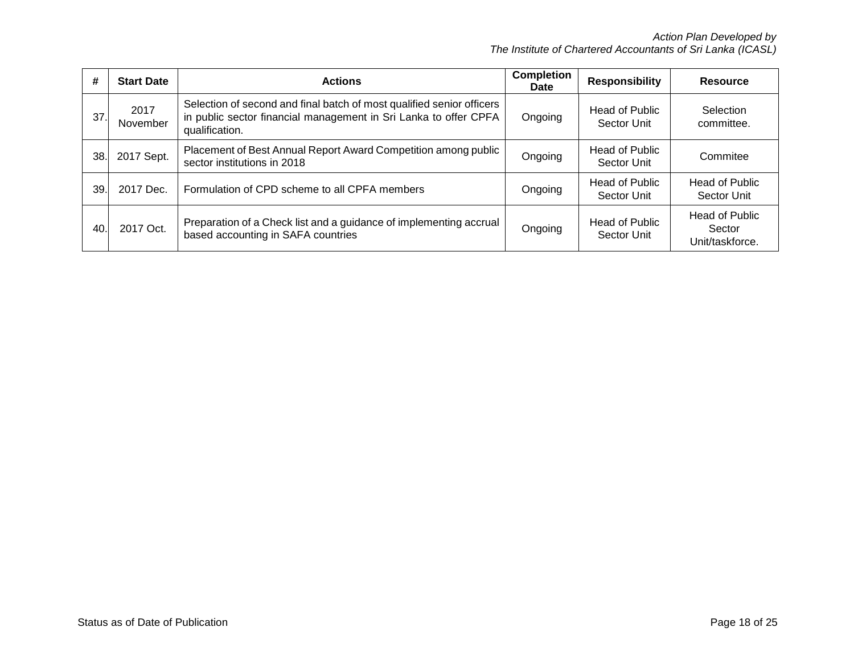*Action Plan Developed by The Institute of Chartered Accountants of Sri Lanka (ICASL)*

| #   | <b>Start Date</b> | <b>Actions</b>                                                                                                                                              | <b>Completion</b><br><b>Date</b> | <b>Responsibility</b>                | Resource                                           |
|-----|-------------------|-------------------------------------------------------------------------------------------------------------------------------------------------------------|----------------------------------|--------------------------------------|----------------------------------------------------|
| 37. | 2017<br>November  | Selection of second and final batch of most qualified senior officers<br>in public sector financial management in Sri Lanka to offer CPFA<br>qualification. |                                  | <b>Head of Public</b><br>Sector Unit | Selection<br>committee.                            |
| 38. | 2017 Sept.        | Placement of Best Annual Report Award Competition among public<br>sector institutions in 2018                                                               | Ongoing                          | <b>Head of Public</b><br>Sector Unit | Commitee                                           |
| 39. | 2017 Dec.         | Formulation of CPD scheme to all CPFA members                                                                                                               | Ongoing                          | <b>Head of Public</b><br>Sector Unit | <b>Head of Public</b><br>Sector Unit               |
| 40  | 2017 Oct.         | Preparation of a Check list and a guidance of implementing accrual<br>based accounting in SAFA countries                                                    | Ongoing                          | <b>Head of Public</b><br>Sector Unit | <b>Head of Public</b><br>Sector<br>Unit/taskforce. |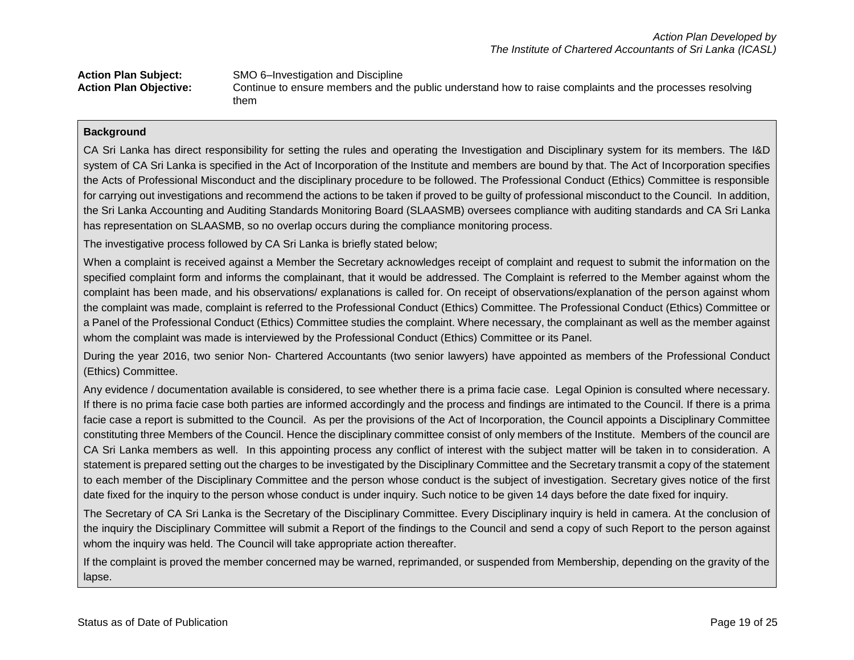| <b>Action Plan Subject:</b>   | SMO 6-Investigation and Discipline                                                                       |
|-------------------------------|----------------------------------------------------------------------------------------------------------|
| <b>Action Plan Objective:</b> | Continue to ensure members and the public understand how to raise complaints and the processes resolving |
|                               | them                                                                                                     |

CA Sri Lanka has direct responsibility for setting the rules and operating the Investigation and Disciplinary system for its members. The I&D system of CA Sri Lanka is specified in the Act of Incorporation of the Institute and members are bound by that. The Act of Incorporation specifies the Acts of Professional Misconduct and the disciplinary procedure to be followed. The Professional Conduct (Ethics) Committee is responsible for carrying out investigations and recommend the actions to be taken if proved to be guilty of professional misconduct to the Council. In addition, the Sri Lanka Accounting and Auditing Standards Monitoring Board (SLAASMB) oversees compliance with auditing standards and CA Sri Lanka has representation on SLAASMB, so no overlap occurs during the compliance monitoring process.

The investigative process followed by CA Sri Lanka is briefly stated below;

When a complaint is received against a Member the Secretary acknowledges receipt of complaint and request to submit the information on the specified complaint form and informs the complainant, that it would be addressed. The Complaint is referred to the Member against whom the complaint has been made, and his observations/ explanations is called for. On receipt of observations/explanation of the person against whom the complaint was made, complaint is referred to the Professional Conduct (Ethics) Committee. The Professional Conduct (Ethics) Committee or a Panel of the Professional Conduct (Ethics) Committee studies the complaint. Where necessary, the complainant as well as the member against whom the complaint was made is interviewed by the Professional Conduct (Ethics) Committee or its Panel.

During the year 2016, two senior Non- Chartered Accountants (two senior lawyers) have appointed as members of the Professional Conduct (Ethics) Committee.

Any evidence / documentation available is considered, to see whether there is a prima facie case. Legal Opinion is consulted where necessary. If there is no prima facie case both parties are informed accordingly and the process and findings are intimated to the Council. If there is a prima facie case a report is submitted to the Council. As per the provisions of the Act of Incorporation, the Council appoints a Disciplinary Committee constituting three Members of the Council. Hence the disciplinary committee consist of only members of the Institute. Members of the council are CA Sri Lanka members as well. In this appointing process any conflict of interest with the subject matter will be taken in to consideration. A statement is prepared setting out the charges to be investigated by the Disciplinary Committee and the Secretary transmit a copy of the statement to each member of the Disciplinary Committee and the person whose conduct is the subject of investigation. Secretary gives notice of the first date fixed for the inquiry to the person whose conduct is under inquiry. Such notice to be given 14 days before the date fixed for inquiry.

The Secretary of CA Sri Lanka is the Secretary of the Disciplinary Committee. Every Disciplinary inquiry is held in camera. At the conclusion of the inquiry the Disciplinary Committee will submit a Report of the findings to the Council and send a copy of such Report to the person against whom the inquiry was held. The Council will take appropriate action thereafter.

If the complaint is proved the member concerned may be warned, reprimanded, or suspended from Membership, depending on the gravity of the lapse.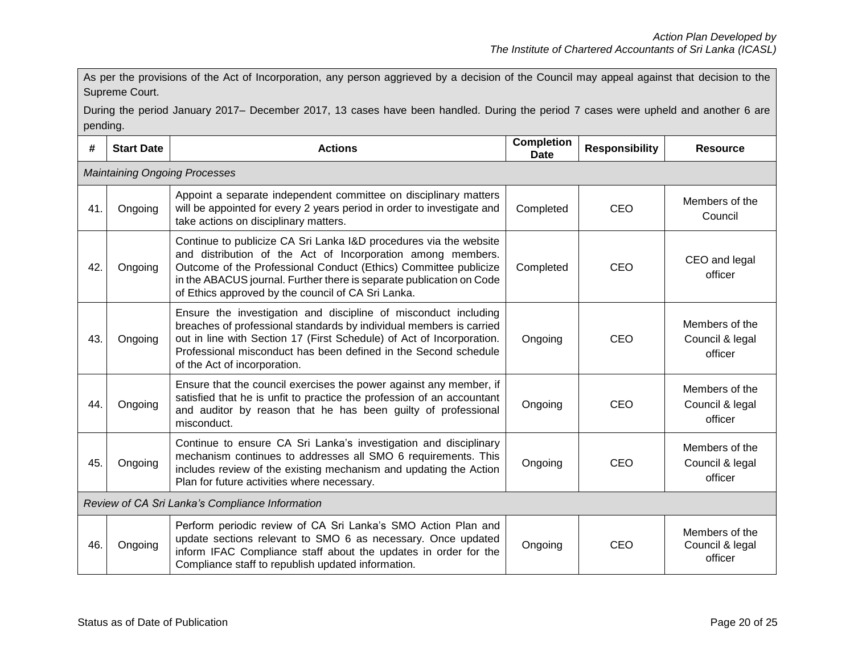As per the provisions of the Act of Incorporation, any person aggrieved by a decision of the Council may appeal against that decision to the Supreme Court.

During the period January 2017– December 2017, 13 cases have been handled. During the period 7 cases were upheld and another 6 are pending.

| #   | <b>Start Date</b>                    | <b>Actions</b>                                                                                                                                                                                                                                                                                                                     | <b>Completion</b><br><b>Date</b> | <b>Responsibility</b> | <b>Resource</b>                              |  |  |
|-----|--------------------------------------|------------------------------------------------------------------------------------------------------------------------------------------------------------------------------------------------------------------------------------------------------------------------------------------------------------------------------------|----------------------------------|-----------------------|----------------------------------------------|--|--|
|     | <b>Maintaining Ongoing Processes</b> |                                                                                                                                                                                                                                                                                                                                    |                                  |                       |                                              |  |  |
| 41. | Ongoing                              | Appoint a separate independent committee on disciplinary matters<br>will be appointed for every 2 years period in order to investigate and<br>take actions on disciplinary matters.                                                                                                                                                | Completed                        | CEO                   | Members of the<br>Council                    |  |  |
| 42. | Ongoing                              | Continue to publicize CA Sri Lanka I&D procedures via the website<br>and distribution of the Act of Incorporation among members.<br>Outcome of the Professional Conduct (Ethics) Committee publicize<br>in the ABACUS journal. Further there is separate publication on Code<br>of Ethics approved by the council of CA Sri Lanka. | Completed                        | <b>CEO</b>            | CEO and legal<br>officer                     |  |  |
| 43. | Ongoing                              | Ensure the investigation and discipline of misconduct including<br>breaches of professional standards by individual members is carried<br>out in line with Section 17 (First Schedule) of Act of Incorporation.<br>Professional misconduct has been defined in the Second schedule<br>of the Act of incorporation.                 | Ongoing                          | <b>CEO</b>            | Members of the<br>Council & legal<br>officer |  |  |
| 44. | Ongoing                              | Ensure that the council exercises the power against any member, if<br>satisfied that he is unfit to practice the profession of an accountant<br>and auditor by reason that he has been guilty of professional<br>misconduct.                                                                                                       | Ongoing                          | CEO                   | Members of the<br>Council & legal<br>officer |  |  |
| 45. | Ongoing                              | Continue to ensure CA Sri Lanka's investigation and disciplinary<br>mechanism continues to addresses all SMO 6 requirements. This<br>includes review of the existing mechanism and updating the Action<br>Plan for future activities where necessary.                                                                              |                                  | <b>CEO</b>            | Members of the<br>Council & legal<br>officer |  |  |
|     |                                      | Review of CA Sri Lanka's Compliance Information                                                                                                                                                                                                                                                                                    |                                  |                       |                                              |  |  |
| 46. | Ongoing                              | Perform periodic review of CA Sri Lanka's SMO Action Plan and<br>update sections relevant to SMO 6 as necessary. Once updated<br>inform IFAC Compliance staff about the updates in order for the<br>Compliance staff to republish updated information.                                                                             | Ongoing                          | <b>CEO</b>            | Members of the<br>Council & legal<br>officer |  |  |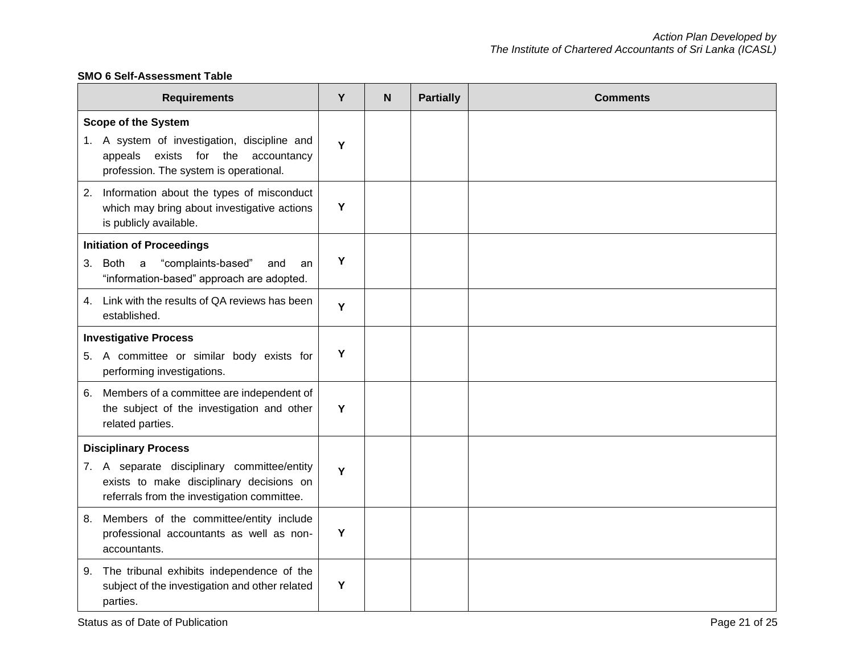# **SMO 6 Self-Assessment Table**

| <b>Requirements</b>                                                                                                                                              | Y | N | <b>Partially</b> | <b>Comments</b> |
|------------------------------------------------------------------------------------------------------------------------------------------------------------------|---|---|------------------|-----------------|
| <b>Scope of the System</b><br>1. A system of investigation, discipline and<br>exists for the<br>accountancy<br>appeals<br>profession. The system is operational. | Y |   |                  |                 |
| Information about the types of misconduct<br>2.<br>which may bring about investigative actions<br>is publicly available.                                         | Y |   |                  |                 |
| <b>Initiation of Proceedings</b><br>"complaints-based"<br>Both<br>$\mathsf{a}$<br>3.<br>and<br>an<br>"information-based" approach are adopted.                   | Y |   |                  |                 |
| 4. Link with the results of QA reviews has been<br>established.                                                                                                  | Y |   |                  |                 |
| <b>Investigative Process</b><br>5. A committee or similar body exists for<br>performing investigations.                                                          | Y |   |                  |                 |
| Members of a committee are independent of<br>6.<br>the subject of the investigation and other<br>related parties.                                                | Y |   |                  |                 |
| <b>Disciplinary Process</b>                                                                                                                                      |   |   |                  |                 |
| 7. A separate disciplinary committee/entity<br>exists to make disciplinary decisions on<br>referrals from the investigation committee.                           | Y |   |                  |                 |
| Members of the committee/entity include<br>8.<br>professional accountants as well as non-<br>accountants.                                                        | Y |   |                  |                 |
| The tribunal exhibits independence of the<br>9.<br>subject of the investigation and other related<br>parties.                                                    | Y |   |                  |                 |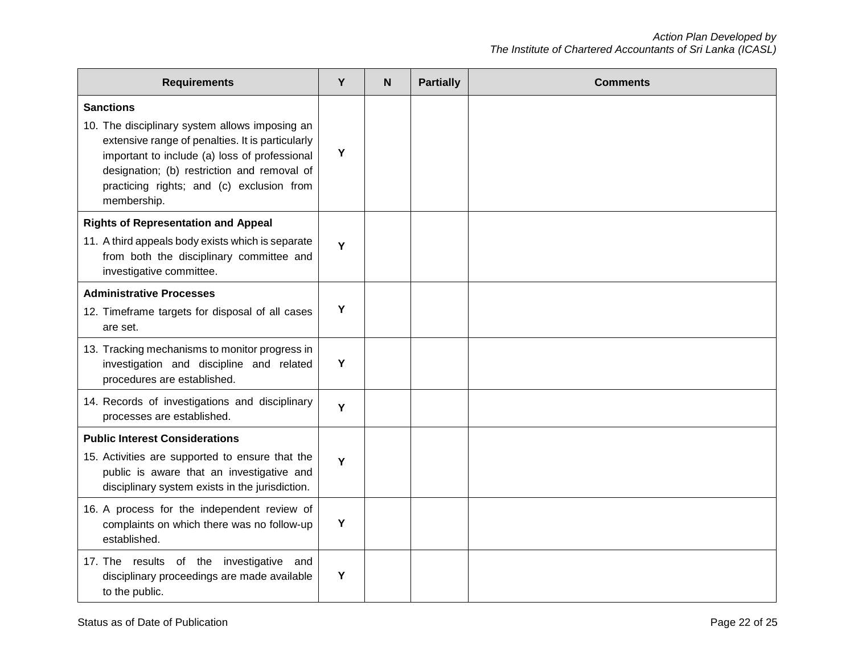| <b>Requirements</b>                                                                                                                                                                                                                                                                | Y | N | <b>Partially</b> | <b>Comments</b> |
|------------------------------------------------------------------------------------------------------------------------------------------------------------------------------------------------------------------------------------------------------------------------------------|---|---|------------------|-----------------|
| <b>Sanctions</b><br>10. The disciplinary system allows imposing an<br>extensive range of penalties. It is particularly<br>important to include (a) loss of professional<br>designation; (b) restriction and removal of<br>practicing rights; and (c) exclusion from<br>membership. | Y |   |                  |                 |
| <b>Rights of Representation and Appeal</b><br>11. A third appeals body exists which is separate<br>from both the disciplinary committee and<br>investigative committee.                                                                                                            | Y |   |                  |                 |
| <b>Administrative Processes</b><br>12. Timeframe targets for disposal of all cases<br>are set.                                                                                                                                                                                     | Y |   |                  |                 |
| 13. Tracking mechanisms to monitor progress in<br>investigation and discipline and related<br>procedures are established.                                                                                                                                                          | Y |   |                  |                 |
| 14. Records of investigations and disciplinary<br>processes are established.                                                                                                                                                                                                       | Y |   |                  |                 |
| <b>Public Interest Considerations</b><br>15. Activities are supported to ensure that the<br>public is aware that an investigative and<br>disciplinary system exists in the jurisdiction.                                                                                           | Y |   |                  |                 |
| 16. A process for the independent review of<br>complaints on which there was no follow-up<br>established.                                                                                                                                                                          | Y |   |                  |                 |
| 17. The results of the investigative and<br>disciplinary proceedings are made available<br>to the public.                                                                                                                                                                          | Y |   |                  |                 |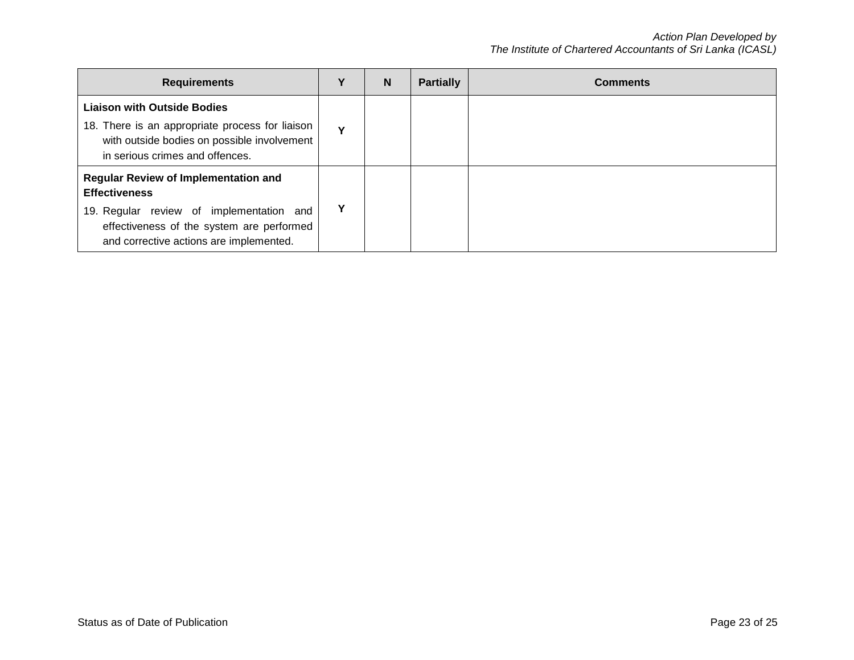| <b>Requirements</b>                                                                                                                                                                                     |             | <sub>N</sub> | <b>Partially</b> | <b>Comments</b> |
|---------------------------------------------------------------------------------------------------------------------------------------------------------------------------------------------------------|-------------|--------------|------------------|-----------------|
| <b>Liaison with Outside Bodies</b><br>18. There is an appropriate process for liaison<br>with outside bodies on possible involvement<br>in serious crimes and offences.                                 | $\mathbf v$ |              |                  |                 |
| <b>Regular Review of Implementation and</b><br><b>Effectiveness</b><br>19. Regular review of implementation and<br>effectiveness of the system are performed<br>and corrective actions are implemented. |             |              |                  |                 |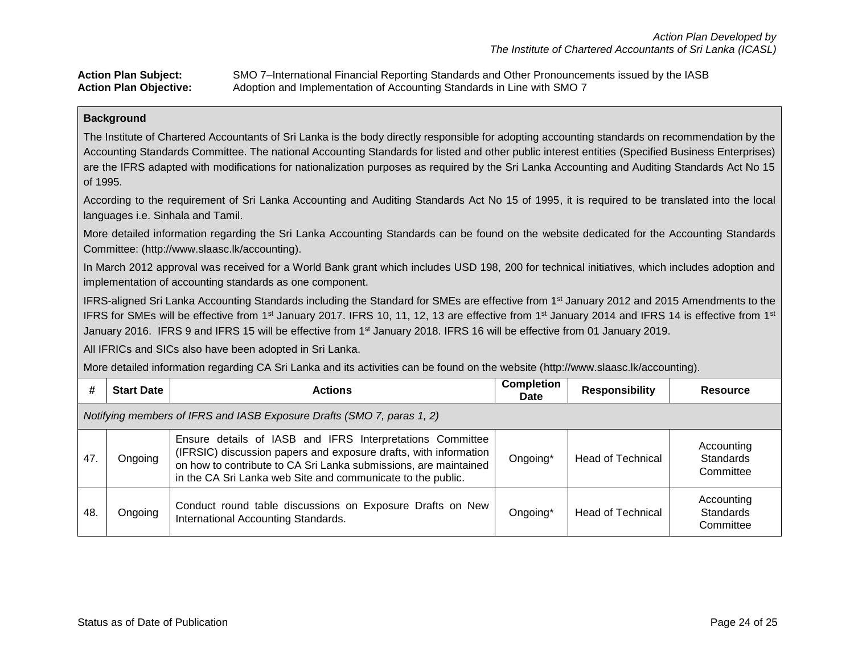| <b>Action Plan Subject:</b>   | SMO 7-International Financial Reporting Standards and Other Pronouncements issued by the IASB |
|-------------------------------|-----------------------------------------------------------------------------------------------|
| <b>Action Plan Objective:</b> | Adoption and Implementation of Accounting Standards in Line with SMO 7                        |

The Institute of Chartered Accountants of Sri Lanka is the body directly responsible for adopting accounting standards on recommendation by the Accounting Standards Committee. The national Accounting Standards for listed and other public interest entities (Specified Business Enterprises) are the IFRS adapted with modifications for nationalization purposes as required by the Sri Lanka Accounting and Auditing Standards Act No 15 of 1995.

According to the requirement of Sri Lanka Accounting and Auditing Standards Act No 15 of 1995, it is required to be translated into the local languages i.e. Sinhala and Tamil.

More detailed information regarding the Sri Lanka Accounting Standards can be found on the website dedicated for the Accounting Standards Committee: (http://www.slaasc.lk/accounting).

In March 2012 approval was received for a World Bank grant which includes USD 198, 200 for technical initiatives, which includes adoption and implementation of accounting standards as one component.

IFRS-aligned Sri Lanka Accounting Standards including the Standard for SMEs are effective from 1st January 2012 and 2015 Amendments to the IFRS for SMEs will be effective from 1<sup>st</sup> January 2017. IFRS 10, 11, 12, 13 are effective from 1<sup>st</sup> January 2014 and IFRS 14 is effective from 1<sup>st</sup> January 2016. IFRS 9 and IFRS 15 will be effective from 1st January 2018. IFRS 16 will be effective from 01 January 2019.

All IFRICs and SICs also have been adopted in Sri Lanka.

More detailed information regarding CA Sri Lanka and its activities can be found on the website (http://www.slaasc.lk/accounting).

| #                                                                      | <b>Start Date</b> | <b>Actions</b>                                                                                                                                                                                                                                                   | <b>Completion</b><br><b>Date</b> | <b>Responsibility</b>    | Resource                                    |  |
|------------------------------------------------------------------------|-------------------|------------------------------------------------------------------------------------------------------------------------------------------------------------------------------------------------------------------------------------------------------------------|----------------------------------|--------------------------|---------------------------------------------|--|
| Notifying members of IFRS and IASB Exposure Drafts (SMO 7, paras 1, 2) |                   |                                                                                                                                                                                                                                                                  |                                  |                          |                                             |  |
| 47.                                                                    | Ongoing           | Ensure details of IASB and IFRS Interpretations Committee<br>(IFRSIC) discussion papers and exposure drafts, with information<br>on how to contribute to CA Sri Lanka submissions, are maintained<br>in the CA Sri Lanka web Site and communicate to the public. | Ongoing*                         | <b>Head of Technical</b> | Accounting<br><b>Standards</b><br>Committee |  |
| 48.                                                                    | Ongoing           | Conduct round table discussions on Exposure Drafts on New<br>International Accounting Standards.                                                                                                                                                                 | Ongoing*                         | <b>Head of Technical</b> | Accounting<br><b>Standards</b><br>Committee |  |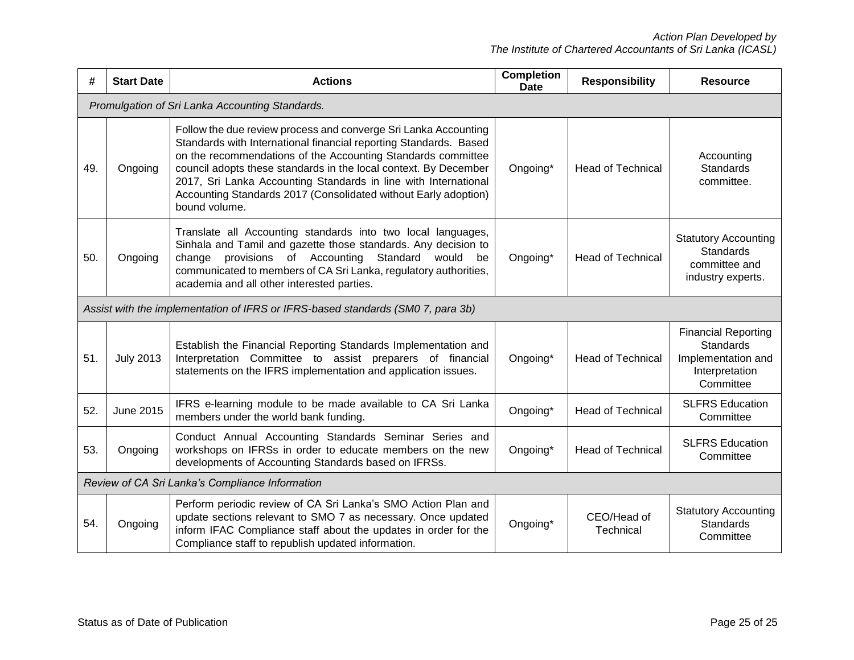| #                                               | <b>Start Date</b>                                                               | <b>Actions</b>                                                                                                                                                                                                                                                                                                                                                                                                                  | <b>Completion</b><br><b>Date</b> | <b>Responsibility</b>    | <b>Resource</b>                                                                                     |  |  |
|-------------------------------------------------|---------------------------------------------------------------------------------|---------------------------------------------------------------------------------------------------------------------------------------------------------------------------------------------------------------------------------------------------------------------------------------------------------------------------------------------------------------------------------------------------------------------------------|----------------------------------|--------------------------|-----------------------------------------------------------------------------------------------------|--|--|
|                                                 | Promulgation of Sri Lanka Accounting Standards.                                 |                                                                                                                                                                                                                                                                                                                                                                                                                                 |                                  |                          |                                                                                                     |  |  |
| 49.                                             | Ongoing                                                                         | Follow the due review process and converge Sri Lanka Accounting<br>Standards with International financial reporting Standards. Based<br>on the recommendations of the Accounting Standards committee<br>council adopts these standards in the local context. By December<br>2017, Sri Lanka Accounting Standards in line with International<br>Accounting Standards 2017 (Consolidated without Early adoption)<br>bound volume. | Ongoing*                         | <b>Head of Technical</b> | Accounting<br><b>Standards</b><br>committee.                                                        |  |  |
| 50.                                             | Ongoing                                                                         | Translate all Accounting standards into two local languages,<br>Sinhala and Tamil and gazette those standards. Any decision to<br>provisions of Accounting Standard<br>change<br>would<br>be<br>communicated to members of CA Sri Lanka, regulatory authorities,<br>academia and all other interested parties.                                                                                                                  | Ongoing*                         | <b>Head of Technical</b> | <b>Statutory Accounting</b><br><b>Standards</b><br>committee and<br>industry experts.               |  |  |
|                                                 | Assist with the implementation of IFRS or IFRS-based standards (SM0 7, para 3b) |                                                                                                                                                                                                                                                                                                                                                                                                                                 |                                  |                          |                                                                                                     |  |  |
| 51.                                             | <b>July 2013</b>                                                                | Establish the Financial Reporting Standards Implementation and<br>Interpretation Committee to assist preparers of financial<br>statements on the IFRS implementation and application issues.                                                                                                                                                                                                                                    | Ongoing*                         | <b>Head of Technical</b> | <b>Financial Reporting</b><br><b>Standards</b><br>Implementation and<br>Interpretation<br>Committee |  |  |
| 52.                                             | June 2015                                                                       | IFRS e-learning module to be made available to CA Sri Lanka<br>members under the world bank funding.                                                                                                                                                                                                                                                                                                                            | Ongoing*                         | <b>Head of Technical</b> | <b>SLFRS Education</b><br>Committee                                                                 |  |  |
| 53.                                             | Ongoing                                                                         | Conduct Annual Accounting Standards Seminar Series and<br>workshops on IFRSs in order to educate members on the new<br>developments of Accounting Standards based on IFRSs.                                                                                                                                                                                                                                                     | Ongoing*                         | <b>Head of Technical</b> | <b>SLFRS Education</b><br>Committee                                                                 |  |  |
| Review of CA Sri Lanka's Compliance Information |                                                                                 |                                                                                                                                                                                                                                                                                                                                                                                                                                 |                                  |                          |                                                                                                     |  |  |
| 54.                                             | Ongoing                                                                         | Perform periodic review of CA Sri Lanka's SMO Action Plan and<br>update sections relevant to SMO 7 as necessary. Once updated<br>inform IFAC Compliance staff about the updates in order for the<br>Compliance staff to republish updated information.                                                                                                                                                                          | Ongoing*                         | CEO/Head of<br>Technical | <b>Statutory Accounting</b><br><b>Standards</b><br>Committee                                        |  |  |